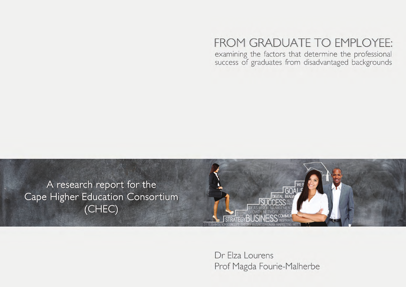# FROM GRADUATE TO EMPLOYEE:

examining the factors that determine the professional success of graduates from disadvantaged backgrounds



Dr Elza Lourens Prof Magda Fourie-Malherbe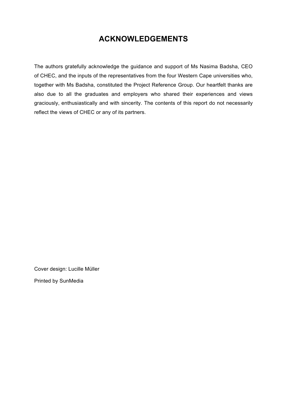## **ACKNOWLEDGEMENTS**

The authors gratefully acknowledge the guidance and support of Ms Nasima Badsha, CEO of CHEC, and the inputs of the representatives from the four Western Cape universities who, together with Ms Badsha, constituted the Project Reference Group. Our heartfelt thanks are also due to all the graduates and employers who shared their experiences and views graciously, enthusiastically and with sincerity. The contents of this report do not necessarily reflect the views of CHEC or any of its partners.

Cover design: Lucille Müller

Printed by SunMedia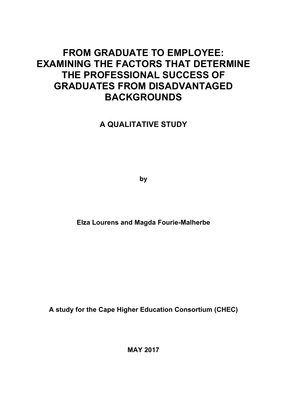## **FROM GRADUATE TO EMPLOYEE: EXAMINING THE FACTORS THAT DETERMINE THE PROFESSIONAL SUCCESS OF GRADUATES FROM DISADVANTAGED BACKGROUNDS**

## **A QUALITATIVE STUDY**

**by**

**Elza Lourens and Magda Fourie-Malherbe**

**A study for the Cape Higher Education Consortium (CHEC)** 

**MAY 2017**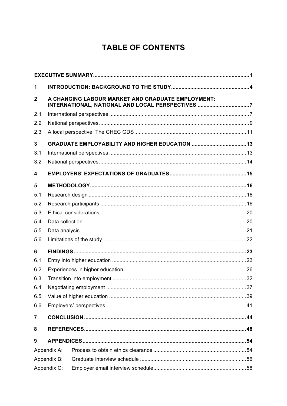## **TABLE OF CONTENTS**

| 1                       |                                                                                                       |  |  |  |  |  |  |
|-------------------------|-------------------------------------------------------------------------------------------------------|--|--|--|--|--|--|
| $\mathbf{2}$            | A CHANGING LABOUR MARKET AND GRADUATE EMPLOYMENT:<br>INTERNATIONAL, NATIONAL AND LOCAL PERSPECTIVES 7 |  |  |  |  |  |  |
| 2.1                     |                                                                                                       |  |  |  |  |  |  |
| 2.2                     |                                                                                                       |  |  |  |  |  |  |
| 2.3                     |                                                                                                       |  |  |  |  |  |  |
| $\mathbf{3}$            |                                                                                                       |  |  |  |  |  |  |
| 3.1                     |                                                                                                       |  |  |  |  |  |  |
| 3.2                     |                                                                                                       |  |  |  |  |  |  |
| $\overline{\mathbf{4}}$ |                                                                                                       |  |  |  |  |  |  |
| 5                       |                                                                                                       |  |  |  |  |  |  |
| 5.1                     |                                                                                                       |  |  |  |  |  |  |
| 5.2                     |                                                                                                       |  |  |  |  |  |  |
| 5.3                     |                                                                                                       |  |  |  |  |  |  |
| 5.4                     |                                                                                                       |  |  |  |  |  |  |
| 5.5                     |                                                                                                       |  |  |  |  |  |  |
| 5.6                     |                                                                                                       |  |  |  |  |  |  |
| 6                       |                                                                                                       |  |  |  |  |  |  |
| 6.1                     |                                                                                                       |  |  |  |  |  |  |
| 6.2                     |                                                                                                       |  |  |  |  |  |  |
| 6.3                     |                                                                                                       |  |  |  |  |  |  |
| 6.4                     |                                                                                                       |  |  |  |  |  |  |
| 6.5                     |                                                                                                       |  |  |  |  |  |  |
| 6.6                     |                                                                                                       |  |  |  |  |  |  |
| $\overline{7}$          |                                                                                                       |  |  |  |  |  |  |
| 8                       |                                                                                                       |  |  |  |  |  |  |
| 9                       |                                                                                                       |  |  |  |  |  |  |
|                         | Appendix A:                                                                                           |  |  |  |  |  |  |
| Appendix B:             |                                                                                                       |  |  |  |  |  |  |
| Appendix C:             |                                                                                                       |  |  |  |  |  |  |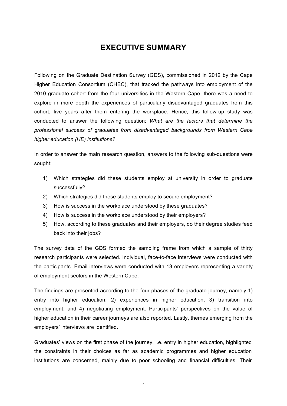## **EXECUTIVE SUMMARY**

Following on the Graduate Destination Survey (GDS), commissioned in 2012 by the Cape Higher Education Consortium (CHEC), that tracked the pathways into employment of the 2010 graduate cohort from the four universities in the Western Cape, there was a need to explore in more depth the experiences of particularly disadvantaged graduates from this cohort, five years after them entering the workplace. Hence, this follow-up study was conducted to answer the following question: *What are the factors that determine the professional success of graduates from disadvantaged backgrounds from Western Cape higher education (HE) institutions?*

In order to answer the main research question, answers to the following sub-questions were sought:

- 1) Which strategies did these students employ at university in order to graduate successfully?
- 2) Which strategies did these students employ to secure employment?
- 3) How is success in the workplace understood by these graduates?
- 4) How is success in the workplace understood by their employers?
- 5) How, according to these graduates and their employers, do their degree studies feed back into their jobs?

The survey data of the GDS formed the sampling frame from which a sample of thirty research participants were selected. Individual, face-to-face interviews were conducted with the participants. Email interviews were conducted with 13 employers representing a variety of employment sectors in the Western Cape.

The findings are presented according to the four phases of the graduate journey, namely 1) entry into higher education, 2) experiences in higher education, 3) transition into employment, and 4) negotiating employment. Participants' perspectives on the value of higher education in their career journeys are also reported. Lastly, themes emerging from the employers' interviews are identified.

Graduates' views on the first phase of the journey, i.e. entry in higher education, highlighted the constraints in their choices as far as academic programmes and higher education institutions are concerned, mainly due to poor schooling and financial difficulties. Their

1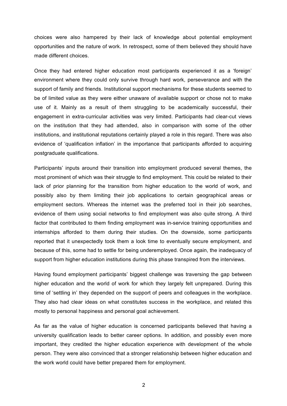choices were also hampered by their lack of knowledge about potential employment opportunities and the nature of work. In retrospect, some of them believed they should have made different choices.

Once they had entered higher education most participants experienced it as a 'foreign' environment where they could only survive through hard work, perseverance and with the support of family and friends. Institutional support mechanisms for these students seemed to be of limited value as they were either unaware of available support or chose not to make use of it. Mainly as a result of them struggling to be academically successful, their engagement in extra-curricular activities was very limited. Participants had clear-cut views on the institution that they had attended, also in comparison with some of the other institutions, and institutional reputations certainly played a role in this regard. There was also evidence of 'qualification inflation' in the importance that participants afforded to acquiring postgraduate qualifications.

Participants' inputs around their transition into employment produced several themes, the most prominent of which was their struggle to find employment. This could be related to their lack of prior planning for the transition from higher education to the world of work, and possibly also by them limiting their job applications to certain geographical areas or employment sectors. Whereas the internet was the preferred tool in their job searches, evidence of them using social networks to find employment was also quite strong. A third factor that contributed to them finding employment was in-service training opportunities and internships afforded to them during their studies. On the downside, some participants reported that it unexpectedly took them a look time to eventually secure employment, and because of this, some had to settle for being underemployed. Once again, the inadequacy of support from higher education institutions during this phase transpired from the interviews.

Having found employment participants' biggest challenge was traversing the gap between higher education and the world of work for which they largely felt unprepared. During this time of 'settling in' they depended on the support of peers and colleagues in the workplace. They also had clear ideas on what constitutes success in the workplace, and related this mostly to personal happiness and personal goal achievement.

As far as the value of higher education is concerned participants believed that having a university qualification leads to better career options. In addition, and possibly even more important, they credited the higher education experience with development of the whole person. They were also convinced that a stronger relationship between higher education and the work world could have better prepared them for employment.

2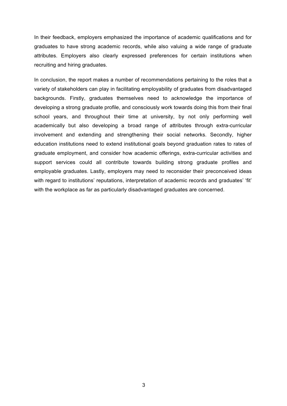In their feedback, employers emphasized the importance of academic qualifications and for graduates to have strong academic records, while also valuing a wide range of graduate attributes. Employers also clearly expressed preferences for certain institutions when recruiting and hiring graduates.

In conclusion, the report makes a number of recommendations pertaining to the roles that a variety of stakeholders can play in facilitating employability of graduates from disadvantaged backgrounds. Firstly, graduates themselves need to acknowledge the importance of developing a strong graduate profile, and consciously work towards doing this from their final school years, and throughout their time at university, by not only performing well academically but also developing a broad range of attributes through extra-curricular involvement and extending and strengthening their social networks. Secondly, higher education institutions need to extend institutional goals beyond graduation rates to rates of graduate employment, and consider how academic offerings, extra-curricular activities and support services could all contribute towards building strong graduate profiles and employable graduates. Lastly, employers may need to reconsider their preconceived ideas with regard to institutions' reputations, interpretation of academic records and graduates' 'fit' with the workplace as far as particularly disadvantaged graduates are concerned.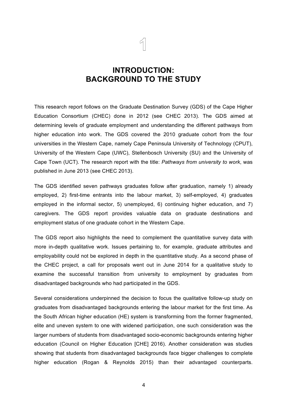## **INTRODUCTION: BACKGROUND TO THE STUDY**

This research report follows on the Graduate Destination Survey (GDS) of the Cape Higher Education Consortium (CHEC) done in 2012 (see CHEC 2013). The GDS aimed at determining levels of graduate employment and understanding the different pathways from higher education into work. The GDS covered the 2010 graduate cohort from the four universities in the Western Cape, namely Cape Peninsula University of Technology (CPUT), University of the Western Cape (UWC), Stellenbosch University (SU) and the University of Cape Town (UCT). The research report with the title: *Pathways from university to work*, was published in June 2013 (see CHEC 2013).

The GDS identified seven pathways graduates follow after graduation, namely 1) already employed, 2) first-time entrants into the labour market, 3) self-employed, 4) graduates employed in the informal sector, 5) unemployed, 6) continuing higher education, and 7) caregivers. The GDS report provides valuable data on graduate destinations and employment status of one graduate cohort in the Western Cape.

The GDS report also highlights the need to complement the quantitative survey data with more in-depth qualitative work. Issues pertaining to, for example, graduate attributes and employability could not be explored in depth in the quantitative study. As a second phase of the CHEC project, a call for proposals went out in June 2014 for a qualitative study to examine the successful transition from university to employment by graduates from disadvantaged backgrounds who had participated in the GDS.

Several considerations underpinned the decision to focus the qualitative follow-up study on graduates from disadvantaged backgrounds entering the labour market for the first time. As the South African higher education (HE) system is transforming from the former fragmented, elite and uneven system to one with widened participation, one such consideration was the larger numbers of students from disadvantaged socio-economic backgrounds entering higher education (Council on Higher Education [CHE] 2016). Another consideration was studies showing that students from disadvantaged backgrounds face bigger challenges to complete higher education (Rogan & Reynolds 2015) than their advantaged counterparts.

4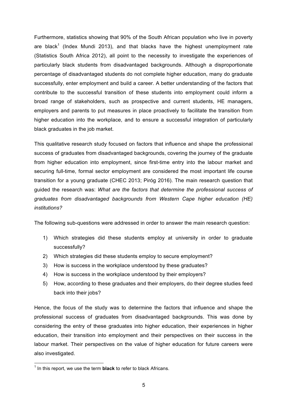Furthermore, statistics showing that 90% of the South African population who live in poverty are black<sup>1</sup> (Index Mundi 2013), and that blacks have the highest unemployment rate (Statistics South Africa 2012), all point to the necessity to investigate the experiences of particularly black students from disadvantaged backgrounds. Although a disproportionate percentage of disadvantaged students do not complete higher education, many do graduate successfully, enter employment and build a career. A better understanding of the factors that contribute to the successful transition of these students into employment could inform a broad range of stakeholders, such as prospective and current students, HE managers, employers and parents to put measures in place proactively to facilitate the transition from higher education into the workplace, and to ensure a successful integration of particularly black graduates in the job market.

This qualitative research study focused on factors that influence and shape the professional success of graduates from disadvantaged backgrounds, covering the journey of the graduate from higher education into employment, since first-time entry into the labour market and securing full-time, formal sector employment are considered the most important life course transition for a young graduate (CHEC 2013; Piróg 2016). The main research question that guided the research was: *What are the factors that determine the professional success of graduates from disadvantaged backgrounds from Western Cape higher education (HE) institutions?*

The following sub-questions were addressed in order to answer the main research question:

- 1) Which strategies did these students employ at university in order to graduate successfully?
- 2) Which strategies did these students employ to secure employment?
- 3) How is success in the workplace understood by these graduates?
- 4) How is success in the workplace understood by their employers?
- 5) How, according to these graduates and their employers, do their degree studies feed back into their jobs?

Hence, the focus of the study was to determine the factors that influence and shape the professional success of graduates from disadvantaged backgrounds. This was done by considering the entry of these graduates into higher education, their experiences in higher education, their transition into employment and their perspectives on their success in the labour market. Their perspectives on the value of higher education for future careers were also investigated.

<sup>&</sup>lt;sup>1</sup> In this report, we use the term **black** to refer to black Africans.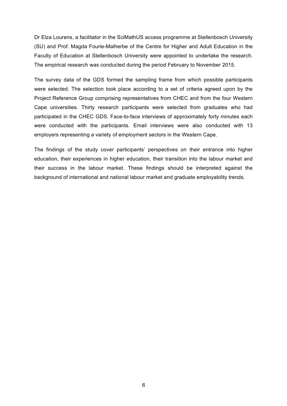Dr Elza Lourens, a facilitator in the SciMathUS access programme at Stellenbosch University (SU) and Prof. Magda Fourie-Malherbe of the Centre for Higher and Adult Education in the Faculty of Education at Stellenbosch University were appointed to undertake the research. The empirical research was conducted during the period February to November 2015.

The survey data of the GDS formed the sampling frame from which possible participants were selected. The selection took place according to a set of criteria agreed upon by the Project Reference Group comprising representatives from CHEC and from the four Western Cape universities. Thirty research participants were selected from graduates who had participated in the CHEC GDS. Face-to-face interviews of approximately forty minutes each were conducted with the participants. Email interviews were also conducted with 13 employers representing a variety of employment sectors in the Western Cape.

The findings of the study cover participants' perspectives on their entrance into higher education, their experiences in higher education, their transition into the labour market and their success in the labour market. These findings should be interpreted against the background of international and national labour market and graduate employability trends.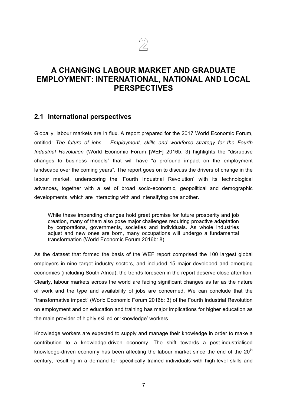## **2**

## **A CHANGING LABOUR MARKET AND GRADUATE EMPLOYMENT: INTERNATIONAL, NATIONAL AND LOCAL PERSPECTIVES**

#### **2.1 International perspectives**

Globally, labour markets are in flux. A report prepared for the 2017 World Economic Forum, entitled: *The future of jobs – Employment, skills and workforce strategy for the Fourth Industrial Revolution* (World Economic Forum [WEF] 2016b: 3) highlights the "disruptive changes to business models" that will have "a profound impact on the employment landscape over the coming years". The report goes on to discuss the drivers of change in the labour market, underscoring the 'Fourth Industrial Revolution' with its technological advances, together with a set of broad socio-economic, geopolitical and demographic developments, which are interacting with and intensifying one another.

While these impending changes hold great promise for future prosperity and job creation, many of them also pose major challenges requiring proactive adaptation by corporations, governments, societies and individuals. As whole industries adjust and new ones are born, many occupations will undergo a fundamental transformation (World Economic Forum 2016b: 8).

As the dataset that formed the basis of the WEF report comprised the 100 largest global employers in nine target industry sectors, and included 15 major developed and emerging economies (including South Africa), the trends foreseen in the report deserve close attention. Clearly, labour markets across the world are facing significant changes as far as the nature of work and the type and availability of jobs are concerned. We can conclude that the "transformative impact" (World Economic Forum 2016b: 3) of the Fourth Industrial Revolution on employment and on education and training has major implications for higher education as the main provider of highly skilled or 'knowledge' workers.

Knowledge workers are expected to supply and manage their knowledge in order to make a contribution to a knowledge-driven economy. The shift towards a post-industrialised knowledge-driven economy has been affecting the labour market since the end of the  $20<sup>th</sup>$ century, resulting in a demand for specifically trained individuals with high-level skills and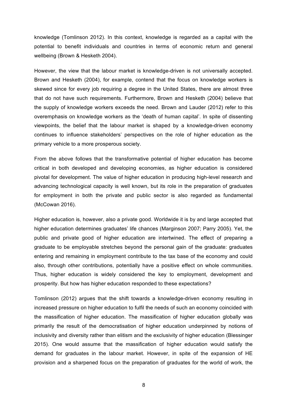knowledge (Tomlinson 2012). In this context, knowledge is regarded as a capital with the potential to benefit individuals and countries in terms of economic return and general wellbeing (Brown & Hesketh 2004).

However, the view that the labour market is knowledge-driven is not universally accepted. Brown and Hesketh (2004), for example, contend that the focus on knowledge workers is skewed since for every job requiring a degree in the United States, there are almost three that do not have such requirements. Furthermore, Brown and Hesketh (2004) believe that the supply of knowledge workers exceeds the need. Brown and Lauder (2012) refer to this overemphasis on knowledge workers as the 'death of human capital'. In spite of dissenting viewpoints, the belief that the labour market is shaped by a knowledge-driven economy continues to influence stakeholders' perspectives on the role of higher education as the primary vehicle to a more prosperous society.

From the above follows that the transformative potential of higher education has become critical in both developed and developing economies, as higher education is considered pivotal for development. The value of higher education in producing high-level research and advancing technological capacity is well known, but its role in the preparation of graduates for employment in both the private and public sector is also regarded as fundamental (McCowan 2016).

Higher education is, however, also a private good. Worldwide it is by and large accepted that higher education determines graduates' life chances (Marginson 2007; Parry 2005). Yet, the public and private good of higher education are intertwined. The effect of preparing a graduate to be employable stretches beyond the personal gain of the graduate: graduates entering and remaining in employment contribute to the tax base of the economy and could also, through other contributions, potentially have a positive effect on whole communities. Thus, higher education is widely considered the key to employment, development and prosperity. But how has higher education responded to these expectations?

Tomlinson (2012) argues that the shift towards a knowledge-driven economy resulting in increased pressure on higher education to fulfil the needs of such an economy coincided with the massification of higher education. The massification of higher education globally was primarily the result of the democratisation of higher education underpinned by notions of inclusivity and diversity rather than elitism and the exclusivity of higher education (Blessinger 2015). One would assume that the massification of higher education would satisfy the demand for graduates in the labour market. However, in spite of the expansion of HE provision and a sharpened focus on the preparation of graduates for the world of work, the

8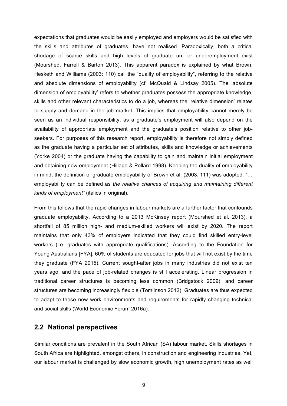expectations that graduates would be easily employed and employers would be satisfied with the skills and attributes of graduates, have not realised. Paradoxically, both a critical shortage of scarce skills and high levels of graduate un- or underemployment exist (Mourshed, Farrell & Barton 2013). This apparent paradox is explained by what Brown, Hesketh and Williams (2003: 110) call the "duality of employability", referring to the relative and absolute dimensions of employability (cf. McQuaid & Lindsay 2005). The 'absolute dimension of employability' refers to whether graduates possess the appropriate knowledge, skills and other relevant characteristics to do a job, whereas the 'relative dimension' relates to supply and demand in the job market. This implies that employability cannot merely be seen as an individual responsibility, as a graduate's employment will also depend on the availability of appropriate employment and the graduate's position relative to other jobseekers. For purposes of this research report, employability is therefore not simply defined as the graduate having a particular set of attributes, skills and knowledge or achievements (Yorke 2004) or the graduate having the capability to gain and maintain initial employment and obtaining new employment (Hillage & Pollard 1998). Keeping the duality of employability in mind, the definition of graduate employability of Brown et al. (2003: 111) was adopted: "… employability can be defined as *the relative chances of acquiring and maintaining different kinds of employment"* (italics in original).

From this follows that the rapid changes in labour markets are a further factor that confounds graduate employability. According to a 2013 McKinsey report (Mourshed et al. 2013), a shortfall of 85 million high- and medium-skilled workers will exist by 2020. The report maintains that only 43% of employers indicated that they could find skilled entry-level workers (i.e. graduates with appropriate qualifications). According to the Foundation for Young Australians [FYA], 60% of students are educated for jobs that will not exist by the time they graduate (FYA 2015). Current sought-after jobs in many industries did not exist ten years ago, and the pace of job-related changes is still accelerating. Linear progression in traditional career structures is becoming less common (Bridgstock 2009), and career structures are becoming increasingly flexible (Tomlinson 2012). Graduates are thus expected to adapt to these new work environments and requirements for rapidly changing technical and social skills (World Economic Forum 2016a).

#### **2.2 National perspectives**

Similar conditions are prevalent in the South African (SA) labour market. Skills shortages in South Africa are highlighted, amongst others, in construction and engineering industries. Yet, our labour market is challenged by slow economic growth, high unemployment rates as well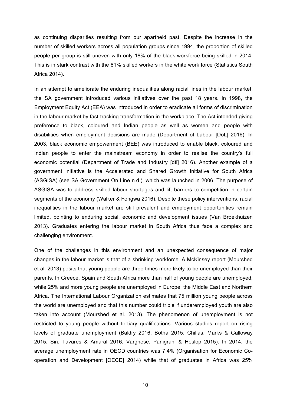as continuing disparities resulting from our apartheid past. Despite the increase in the number of skilled workers across all population groups since 1994, the proportion of skilled people per group is still uneven with only 18% of the black workforce being skilled in 2014. This is in stark contrast with the 61% skilled workers in the white work force (Statistics South Africa 2014).

In an attempt to ameliorate the enduring inequalities along racial lines in the labour market, the SA government introduced various initiatives over the past 18 years. In 1998, the Employment Equity Act (EEA) was introduced in order to eradicate all forms of discrimination in the labour market by fast-tracking transformation in the workplace. The Act intended giving preference to black, coloured and Indian people as well as women and people with disabilities when employment decisions are made (Department of Labour [DoL] 2016). In 2003, black economic empowerment (BEE) was introduced to enable black, coloured and Indian people to enter the mainstream economy in order to realise the country's full economic potential (Department of Trade and Industry [dti] 2016). Another example of a government initiative is the Accelerated and Shared Growth Initiative for South Africa (ASGISA) (see SA Government On Line n.d.), which was launched in 2006. The purpose of ASGISA was to address skilled labour shortages and lift barriers to competition in certain segments of the economy (Walker & Fongwa 2016). Despite these policy interventions, racial inequalities in the labour market are still prevalent and employment opportunities remain limited, pointing to enduring social, economic and development issues (Van Broekhuizen 2013). Graduates entering the labour market in South Africa thus face a complex and challenging environment.

One of the challenges in this environment and an unexpected consequence of major changes in the labour market is that of a shrinking workforce. A McKinsey report (Mourshed et al. 2013) posits that young people are three times more likely to be unemployed than their parents. In Greece, Spain and South Africa more than half of young people are unemployed, while 25% and more young people are unemployed in Europe, the Middle East and Northern Africa. The International Labour Organization estimates that 75 million young people across the world are unemployed and that this number could triple if underemployed youth are also taken into account (Mourshed et al. 2013). The phenomenon of unemployment is not restricted to young people without tertiary qualifications. Various studies report on rising levels of graduate unemployment (Baldry 2016; Botha 2015; Chillas, Marks & Galloway 2015; Sin, Tavares & Amaral 2016; Varghese, Panigrahi & Heslop 2015). In 2014, the average unemployment rate in OECD countries was 7.4% (Organisation for Economic Cooperation and Development [OECD] 2014) while that of graduates in Africa was 25%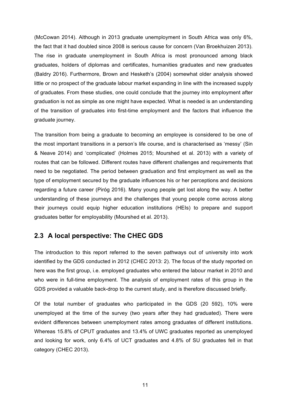(McCowan 2014). Although in 2013 graduate unemployment in South Africa was only 6%, the fact that it had doubled since 2008 is serious cause for concern (Van Broekhuizen 2013). The rise in graduate unemployment in South Africa is most pronounced among black graduates, holders of diplomas and certificates, humanities graduates and new graduates (Baldry 2016). Furthermore, Brown and Hesketh's (2004) somewhat older analysis showed little or no prospect of the graduate labour market expanding in line with the increased supply of graduates. From these studies, one could conclude that the journey into employment after graduation is not as simple as one might have expected. What is needed is an understanding of the transition of graduates into first-time employment and the factors that influence the graduate journey.

The transition from being a graduate to becoming an employee is considered to be one of the most important transitions in a person's life course, and is characterised as 'messy' (Sin & Neave 2014) and 'complicated' (Holmes 2015; Mourshed et al. 2013) with a variety of routes that can be followed. Different routes have different challenges and requirements that need to be negotiated. The period between graduation and first employment as well as the type of employment secured by the graduate influences his or her perceptions and decisions regarding a future career (Piróg 2016). Many young people get lost along the way. A better understanding of these journeys and the challenges that young people come across along their journeys could equip higher education institutions (HEIs) to prepare and support graduates better for employability (Mourshed et al. 2013).

#### **2.3 A local perspective: The CHEC GDS**

The introduction to this report referred to the seven pathways out of university into work identified by the GDS conducted in 2012 (CHEC 2013: 2). The focus of the study reported on here was the first group, i.e. employed graduates who entered the labour market in 2010 and who were in full-time employment. The analysis of employment rates of this group in the GDS provided a valuable back-drop to the current study, and is therefore discussed briefly.

Of the total number of graduates who participated in the GDS (20 592), 10% were unemployed at the time of the survey (two years after they had graduated). There were evident differences between unemployment rates among graduates of different institutions. Whereas 15.8% of CPUT graduates and 13.4% of UWC graduates reported as unemployed and looking for work, only 6.4% of UCT graduates and 4.8% of SU graduates fell in that category (CHEC 2013).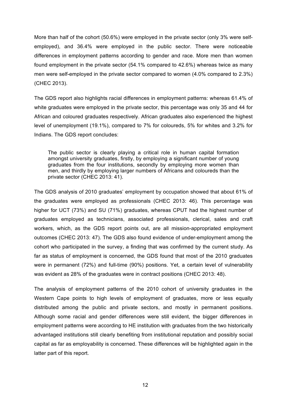More than half of the cohort (50.6%) were employed in the private sector (only 3% were selfemployed), and 36.4% were employed in the public sector. There were noticeable differences in employment patterns according to gender and race. More men than women found employment in the private sector (54.1% compared to 42.6%) whereas twice as many men were self-employed in the private sector compared to women (4.0% compared to 2.3%) (CHEC 2013).

The GDS report also highlights racial differences in employment patterns: whereas 61.4% of white graduates were employed in the private sector, this percentage was only 35 and 44 for African and coloured graduates respectively. African graduates also experienced the highest level of unemployment (19.1%), compared to 7% for coloureds, 5% for whites and 3.2% for Indians. The GDS report concludes:

The public sector is clearly playing a critical role in human capital formation amongst university graduates, firstly, by employing a significant number of young graduates from the four institutions, secondly by employing more women than men, and thirdly by employing larger numbers of Africans and coloureds than the private sector (CHEC 2013: 41).

The GDS analysis of 2010 graduates' employment by occupation showed that about 61% of the graduates were employed as professionals (CHEC 2013: 46). This percentage was higher for UCT (73%) and SU (71%) graduates, whereas CPUT had the highest number of graduates employed as technicians, associated professionals, clerical, sales and craft workers, which, as the GDS report points out, are all mission-appropriated employment outcomes (CHEC 2013: 47). The GDS also found evidence of under-employment among the cohort who participated in the survey, a finding that was confirmed by the current study. As far as status of employment is concerned, the GDS found that most of the 2010 graduates were in permanent (72%) and full-time (90%) positions. Yet, a certain level of vulnerability was evident as 28% of the graduates were in contract positions (CHEC 2013: 48).

The analysis of employment patterns of the 2010 cohort of university graduates in the Western Cape points to high levels of employment of graduates, more or less equally distributed among the public and private sectors, and mostly in permanent positions. Although some racial and gender differences were still evident, the bigger differences in employment patterns were according to HE institution with graduates from the two historically advantaged institutions still clearly benefiting from institutional reputation and possibly social capital as far as employability is concerned. These differences will be highlighted again in the latter part of this report.

12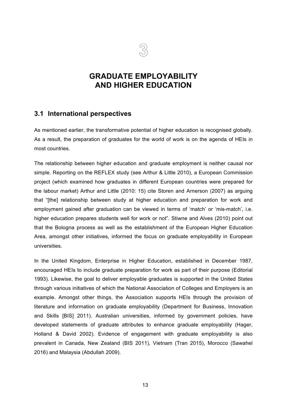

## **GRADUATE EMPLOYABILITY AND HIGHER EDUCATION**

#### **3.1 International perspectives**

As mentioned earlier, the transformative potential of higher education is recognised globally. As a result, the preparation of graduates for the world of work is on the agenda of HEIs in most countries.

The relationship between higher education and graduate employment is neither causal nor simple. Reporting on the REFLEX study (see Arthur & Little 2010), a European Commission project (which examined how graduates in different European countries were prepared for the labour market) Arthur and Little (2010: 15) cite Storen and Arnerson (2007) as arguing that "[the] relationship between study at higher education and preparation for work and employment gained after graduation can be viewed in terms of 'match' or 'mis-match', i.e. higher education prepares students well for work or not". Stiwne and Alves (2010) point out that the Bologna process as well as the establishment of the European Higher Education Area, amongst other initiatives, informed the focus on graduate employability in European universities.

In the United Kingdom, Enterprise in Higher Education, established in December 1987, encouraged HEIs to include graduate preparation for work as part of their purpose (Editorial 1993). Likewise, the goal to deliver employable graduates is supported in the United States through various initiatives of which the National Association of Colleges and Employers is an example. Amongst other things, the Association supports HEIs through the provision of literature and information on graduate employability (Department for Business, Innovation and Skills [BIS] 2011). Australian universities, informed by government policies, have developed statements of graduate attributes to enhance graduate employability (Hager, Holland & David 2002). Evidence of engagement with graduate employability is also prevalent in Canada, New Zealand (BIS 2011), Vietnam (Tran 2015), Morocco (Sawahel 2016) and Malaysia (Abdullah 2009).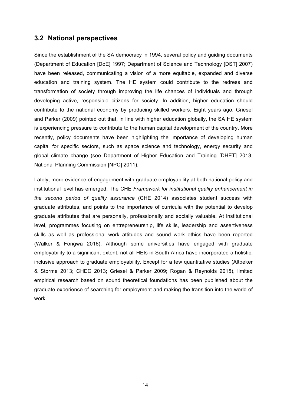#### **3.2 National perspectives**

Since the establishment of the SA democracy in 1994, several policy and guiding documents (Department of Education [DoE] 1997; Department of Science and Technology [DST] 2007) have been released, communicating a vision of a more equitable, expanded and diverse education and training system. The HE system could contribute to the redress and transformation of society through improving the life chances of individuals and through developing active, responsible citizens for society. In addition, higher education should contribute to the national economy by producing skilled workers. Eight years ago, Griesel and Parker (2009) pointed out that, in line with higher education globally, the SA HE system is experiencing pressure to contribute to the human capital development of the country. More recently, policy documents have been highlighting the importance of developing human capital for specific sectors, such as space science and technology, energy security and global climate change (see Department of Higher Education and Training [DHET] 2013, National Planning Commission [NPC] 2011).

Lately, more evidence of engagement with graduate employability at both national policy and institutional level has emerged. The CHE *Framework for institutional quality enhancement in the second period of quality assurance* (CHE 2014) associates student success with graduate attributes, and points to the importance of curricula with the potential to develop graduate attributes that are personally, professionally and socially valuable. At institutional level, programmes focusing on entrepreneurship, life skills, leadership and assertiveness skills as well as professional work attitudes and sound work ethics have been reported (Walker & Fongwa 2016). Although some universities have engaged with graduate employability to a significant extent, not all HEIs in South Africa have incorporated a holistic, inclusive approach to graduate employability. Except for a few quantitative studies (Altbeker & Storme 2013; CHEC 2013; Griesel & Parker 2009; Rogan & Reynolds 2015), limited empirical research based on sound theoretical foundations has been published about the graduate experience of searching for employment and making the transition into the world of work.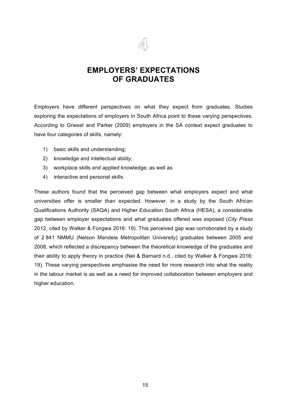

## **EMPLOYERS' EXPECTATIONS OF GRADUATES**

Employers have different perspectives on what they expect from graduates. Studies exploring the expectations of employers in South Africa point to these varying perspectives. According to Griesel and Parker (2009) employers in the SA context expect graduates to have four categories of skills, namely:

- 1) basic skills and understanding;
- 2) knowledge and intellectual ability;
- 3) workplace skills and applied knowledge; as well as
- 4) interactive and personal skills.

These authors found that the perceived gap between what employers expect and what universities offer is smaller than expected. However, in a study by the South African Qualifications Authority (SAQA) and Higher Education South Africa (HESA), a considerable gap between employer expectations and what graduates offered was exposed (*City Press* 2012, cited by Walker & Fongwa 2016: 19). This perceived gap was corroborated by a study of 2 841 NMMU (Nelson Mandela Metropolitan University) graduates between 2005 and 2008, which reflected a discrepancy between the theoretical knowledge of the graduates and their ability to apply theory in practice (Nel & Barnard n.d., cited by Walker & Fongwa 2016: 19). These varying perspectives emphasise the need for more research into what the reality in the labour market is as well as a need for improved collaboration between employers and higher education.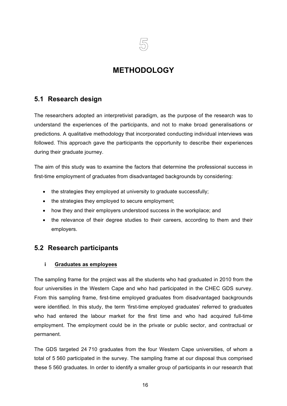

## **METHODOLOGY**

#### **5.1 Research design**

The researchers adopted an interpretivist paradigm, as the purpose of the research was to understand the experiences of the participants, and not to make broad generalisations or predictions. A qualitative methodology that incorporated conducting individual interviews was followed. This approach gave the participants the opportunity to describe their experiences during their graduate journey.

The aim of this study was to examine the factors that determine the professional success in first-time employment of graduates from disadvantaged backgrounds by considering:

- the strategies they employed at university to graduate successfully;
- the strategies they employed to secure employment;
- how they and their employers understood success in the workplace; and
- the relevance of their degree studies to their careers, according to them and their employers.

#### **5.2 Research participants**

#### **i Graduates as employees**

The sampling frame for the project was all the students who had graduated in 2010 from the four universities in the Western Cape and who had participated in the CHEC GDS survey. From this sampling frame, first-time employed graduates from disadvantaged backgrounds were identified. In this study, the term 'first-time employed graduates' referred to graduates who had entered the labour market for the first time and who had acquired full-time employment. The employment could be in the private or public sector, and contractual or permanent.

The GDS targeted 24 710 graduates from the four Western Cape universities, of whom a total of 5 560 participated in the survey. The sampling frame at our disposal thus comprised these 5 560 graduates. In order to identify a smaller group of participants in our research that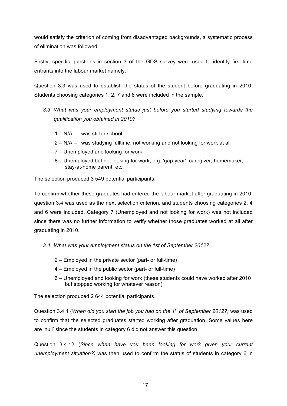would satisfy the criterion of coming from disadvantaged backgrounds, a systematic process of elimination was followed.

Firstly, specific questions in section 3 of the GDS survey were used to identify first-time entrants into the labour market namely:

Question 3.3 was used to establish the status of the student before graduating in 2010. Students choosing categories 1, 2, 7 and 8 were included in the sample.

- *3.3 What was your employment status just before you started studying towards the qualification you obtained in 2010?*
	- 1 N/A I was still in school
	- 2 N/A I was studying fulltime, not working and not looking for work at all
	- 7 Unemployed and looking for work
	- 8 Unemployed but not looking for work, e.g. 'gap-year', caregiver, homemaker, stay-at-home parent, etc.

The selection produced 3 549 potential participants.

To confirm whether these graduates had entered the labour market after graduating in 2010, question 3.4 was used as the next selection criterion, and students choosing categories 2, 4 and 6 were included. Category 7 (Unemployed and not looking for work) was not included since there was no further information to verify whether those graduates worked at all after graduating in 2010.

- *3.4 What was your employment status on the 1st of September 2012?*
	- 2 Employed in the private sector (part- or full-time)
	- 4 Employed in the public sector (part- or full-time)
	- 6 Unemployed and looking for work (these students could have worked after 2010 but stopped working for whatever reason)

The selection produced 2 644 potential participants.

Question 3.4.1 (*When did you start the job you had on the 1st of September 2012?)* was used to confirm that the selected graduates started working after graduation. Some values here are 'null' since the students in category 6 did not answer this question.

Question 3.4.12 (*Since when have you been looking for work given your current unemployment situation?)* was then used to confirm the status of students in category 6 in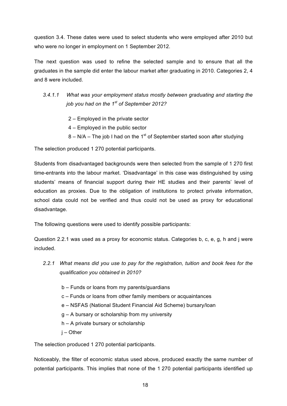question 3.4. These dates were used to select students who were employed after 2010 but who were no longer in employment on 1 September 2012.

The next question was used to refine the selected sample and to ensure that all the graduates in the sample did enter the labour market after graduating in 2010. Categories 2, 4 and 8 were included.

- *3.4.1.1 What was your employment status mostly between graduating and starting the job you had on the 1st of September 2012?* 
	- 2 Employed in the private sector
	- 4 Employed in the public sector
	- $8 N/A -$  The job I had on the 1<sup>st</sup> of September started soon after studying

The selection produced 1 270 potential participants.

Students from disadvantaged backgrounds were then selected from the sample of 1 270 first time-entrants into the labour market. 'Disadvantage' in this case was distinguished by using students' means of financial support during their HE studies and their parents' level of education as proxies. Due to the obligation of institutions to protect private information, school data could not be verified and thus could not be used as proxy for educational disadvantage.

The following questions were used to identify possible participants:

Question 2.2.1 was used as a proxy for economic status. Categories b, c, e, g, h and j were included.

- *2.2.1 What means did you use to pay for the registration, tuition and book fees for the qualification you obtained in 2010?*
	- b Funds or loans from my parents/guardians
	- c Funds or loans from other family members or acquaintances
	- e NSFAS (National Student Financial Aid Scheme) bursary/loan
	- g A bursary or scholarship from my university
	- h A private bursary or scholarship
	- j Other

The selection produced 1 270 potential participants.

Noticeably, the filter of economic status used above, produced exactly the same number of potential participants. This implies that none of the 1 270 potential participants identified up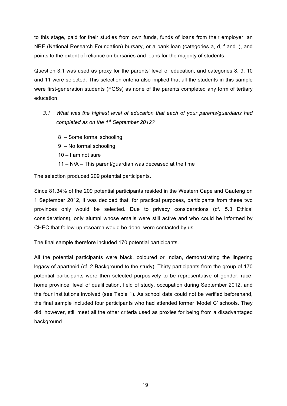to this stage, paid for their studies from own funds, funds of loans from their employer, an NRF (National Research Foundation) bursary, or a bank loan (categories a, d, f and i), and points to the extent of reliance on bursaries and loans for the majority of students.

Question 3.1 was used as proxy for the parents' level of education, and categories 8, 9, 10 and 11 were selected. This selection criteria also implied that all the students in this sample were first-generation students (FGSs) as none of the parents completed any form of tertiary education.

- *3.1 What was the highest level of education that each of your parents/guardians had completed as on the 1st September 2012?*
	- 8 Some formal schooling
	- 9 No formal schooling
	- 10 I am not sure
	- 11 N/A This parent/guardian was deceased at the time

The selection produced 209 potential participants.

Since 81.34% of the 209 potential participants resided in the Western Cape and Gauteng on 1 September 2012, it was decided that, for practical purposes, participants from these two provinces only would be selected. Due to privacy considerations (cf. 5.3 Ethical considerations), only alumni whose emails were still active and who could be informed by CHEC that follow-up research would be done, were contacted by us.

The final sample therefore included 170 potential participants.

All the potential participants were black, coloured or Indian, demonstrating the lingering legacy of apartheid (cf. 2 Background to the study). Thirty participants from the group of 170 potential participants were then selected purposively to be representative of gender, race, home province, level of qualification, field of study, occupation during September 2012, and the four institutions involved (see Table 1). As school data could not be verified beforehand, the final sample included four participants who had attended former 'Model C' schools. They did, however, still meet all the other criteria used as proxies for being from a disadvantaged background.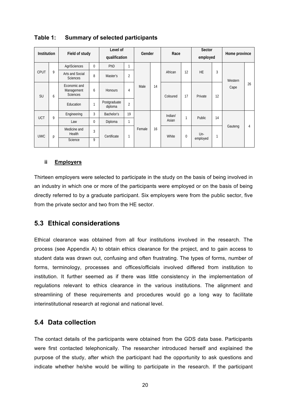| <b>Institution</b> |   | Field of study                                |              | Level of<br>qualification |                | Gender                 |    | Race             |             | Sector<br>employed |    | Home province |    |
|--------------------|---|-----------------------------------------------|--------------|---------------------------|----------------|------------------------|----|------------------|-------------|--------------------|----|---------------|----|
| <b>CPUT</b>        | 9 | AgriSciences                                  | 0            | PhD                       | $\mathbf{1}$   |                        |    | African          | 12          | <b>HE</b>          | 3  |               |    |
|                    |   | Arts and Social<br><b>Sciences</b>            | 8            | Master's                  | $\overline{2}$ |                        |    |                  |             |                    |    | Western       |    |
| <b>SU</b>          | 6 | Economic and<br>Management<br><b>Sciences</b> | 6            | <b>Honours</b>            | 4              | Male                   | 14 | Coloured         | 17          | Private            | 12 | Cape          | 26 |
|                    |   | Education                                     | $\mathbf{1}$ | Postgraduate<br>diploma   | $\overline{2}$ |                        |    |                  |             |                    |    |               |    |
| <b>UCT</b>         | 9 | Engineering                                   | 3            | Bachelor's                | 19             |                        | 16 | Indian/<br>Asian | 1           | Public             | 14 |               | 4  |
|                    |   | Law                                           | 0            | Diploma                   | $\mathbf{1}$   |                        |    |                  |             |                    |    |               |    |
| <b>UWC</b>         | р | Medicine and<br>Health                        | 3            | Certificate               |                | Female<br>$\mathbf{1}$ |    | White            | $\mathbf 0$ | $Un-$<br>employed  | 1  | Gauteng       |    |
|                    |   | Science                                       | 9            |                           |                |                        |    |                  |             |                    |    |               |    |

#### **Table 1: Summary of selected participants**

#### **ii Employers**

Thirteen employers were selected to participate in the study on the basis of being involved in an industry in which one or more of the participants were employed or on the basis of being directly referred to by a graduate participant. Six employers were from the public sector, five from the private sector and two from the HE sector.

#### **5.3 Ethical considerations**

Ethical clearance was obtained from all four institutions involved in the research. The process (see Appendix A) to obtain ethics clearance for the project, and to gain access to student data was drawn out, confusing and often frustrating. The types of forms, number of forms, terminology, processes and offices/officials involved differed from institution to institution. It further seemed as if there was little consistency in the implementation of regulations relevant to ethics clearance in the various institutions. The alignment and streamlining of these requirements and procedures would go a long way to facilitate interinstitutional research at regional and national level.

#### **5.4 Data collection**

The contact details of the participants were obtained from the GDS data base. Participants were first contacted telephonically. The researcher introduced herself and explained the purpose of the study, after which the participant had the opportunity to ask questions and indicate whether he/she would be willing to participate in the research. If the participant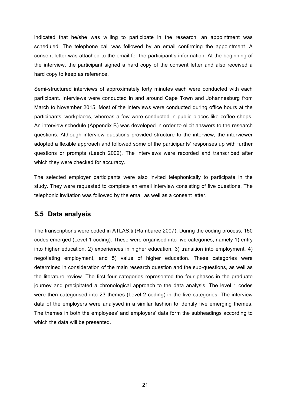indicated that he/she was willing to participate in the research, an appointment was scheduled. The telephone call was followed by an email confirming the appointment. A consent letter was attached to the email for the participant's information. At the beginning of the interview, the participant signed a hard copy of the consent letter and also received a hard copy to keep as reference.

Semi-structured interviews of approximately forty minutes each were conducted with each participant. Interviews were conducted in and around Cape Town and Johannesburg from March to November 2015. Most of the interviews were conducted during office hours at the participants' workplaces, whereas a few were conducted in public places like coffee shops. An interview schedule (Appendix B) was developed in order to elicit answers to the research questions. Although interview questions provided structure to the interview, the interviewer adopted a flexible approach and followed some of the participants' responses up with further questions or prompts (Leech 2002). The interviews were recorded and transcribed after which they were checked for accuracy.

The selected employer participants were also invited telephonically to participate in the study. They were requested to complete an email interview consisting of five questions. The telephonic invitation was followed by the email as well as a consent letter.

#### **5.5 Data analysis**

The transcriptions were coded in ATLAS.ti (Rambaree 2007). During the coding process, 150 codes emerged (Level 1 coding). These were organised into five categories, namely 1) entry into higher education, 2) experiences in higher education, 3) transition into employment, 4) negotiating employment, and 5) value of higher education. These categories were determined in consideration of the main research question and the sub-questions, as well as the literature review. The first four categories represented the four phases in the graduate journey and precipitated a chronological approach to the data analysis. The level 1 codes were then categorised into 23 themes (Level 2 coding) in the five categories. The interview data of the employers were analysed in a similar fashion to identify five emerging themes. The themes in both the employees' and employers' data form the subheadings according to which the data will be presented.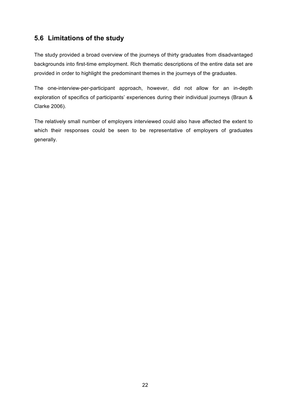### **5.6 Limitations of the study**

The study provided a broad overview of the journeys of thirty graduates from disadvantaged backgrounds into first-time employment. Rich thematic descriptions of the entire data set are provided in order to highlight the predominant themes in the journeys of the graduates.

The one-interview-per-participant approach, however, did not allow for an in-depth exploration of specifics of participants' experiences during their individual journeys (Braun & Clarke 2006).

The relatively small number of employers interviewed could also have affected the extent to which their responses could be seen to be representative of employers of graduates generally.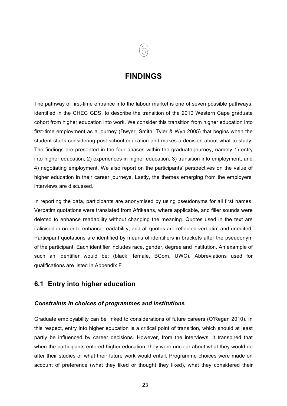

#### **FINDINGS**

The pathway of first-time entrance into the labour market is one of seven possible pathways, identified in the CHEC GDS, to describe the transition of the 2010 Western Cape graduate cohort from higher education into work. We consider this transition from higher education into first-time employment as a journey (Dwyer, Smith, Tyler & Wyn 2005) that begins when the student starts considering post-school education and makes a decision about what to study. The findings are presented in the four phases within the graduate journey, namely 1) entry into higher education, 2) experiences in higher education, 3) transition into employment, and 4) negotiating employment. We also report on the participants' perspectives on the value of higher education in their career journeys. Lastly, the themes emerging from the employers' interviews are discussed.

In reporting the data, participants are anonymised by using pseudonyms for all first names. Verbatim quotations were translated from Afrikaans, where applicable, and filler sounds were deleted to enhance readability without changing the meaning. Quotes used in the text are italicised in order to enhance readability, and all quotes are reflected verbatim and unedited. Participant quotations are identified by means of identifiers in brackets after the pseudonym of the participant. Each identifier includes race, gender, degree and institution. An example of such an identifier would be: (black, female, BCom, UWC). Abbreviations used for qualifications are listed in Appendix F.

#### **6.1 Entry into higher education**

#### *Constraints in choices of programmes and institutions*

Graduate employability can be linked to considerations of future careers (O'Regan 2010). In this respect, entry into higher education is a critical point of transition, which should at least partly be influenced by career decisions. However, from the interviews, it transpired that when the participants entered higher education, they were unclear about what they would do after their studies or what their future work would entail. Programme choices were made on account of preference (what they liked or thought they liked), what they considered their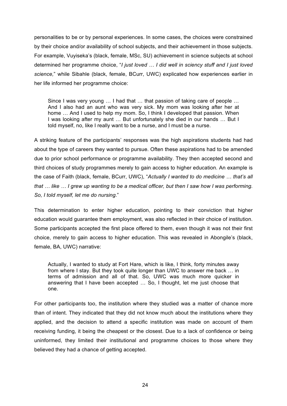personalities to be or by personal experiences. In some cases, the choices were constrained by their choice and/or availability of school subjects, and their achievement in those subjects. For example, Vuyiseka's (black, female, MSc, SU) achievement in science subjects at school determined her programme choice, "*I just loved … I did well in sciency stuff and I just loved science,*" while Sibahle (black, female, BCurr, UWC) explicated how experiences earlier in her life informed her programme choice:

Since I was very young … I had that … that passion of taking care of people … And I also had an aunt who was very sick. My mom was looking after her at home ... And I used to help my mom. So, I think I developed that passion. When I was looking after my aunt … But unfortunately she died in our hands … But I told myself, no, like I really want to be a nurse, and I must be a nurse.

A striking feature of the participants' responses was the high aspirations students had had about the type of careers they wanted to pursue. Often these aspirations had to be amended due to prior school performance or programme availability. They then accepted second and third choices of study programmes merely to gain access to higher education. An example is the case of Faith (black, female, BCurr, UWC), "*Actually I wanted to do medicine … that's all that … like … I grew up wanting to be a medical officer, but then I saw how I was performing. So, I told myself, let me do nursing*."

This determination to enter higher education, pointing to their conviction that higher education would guarantee them employment, was also reflected in their choice of institution. Some participants accepted the first place offered to them, even though it was not their first choice, merely to gain access to higher education. This was revealed in Abongile's (black, female, BA, UWC) narrative:

Actually, I wanted to study at Fort Hare, which is like, I think, forty minutes away from where I stay. But they took quite longer than UWC to answer me back … in terms of admission and all of that. So, UWC was much more quicker in answering that I have been accepted … So, I thought, let me just choose that one.

For other participants too, the institution where they studied was a matter of chance more than of intent. They indicated that they did not know much about the institutions where they applied, and the decision to attend a specific institution was made on account of them receiving funding, it being the cheapest or the closest. Due to a lack of confidence or being uninformed, they limited their institutional and programme choices to those where they believed they had a chance of getting accepted.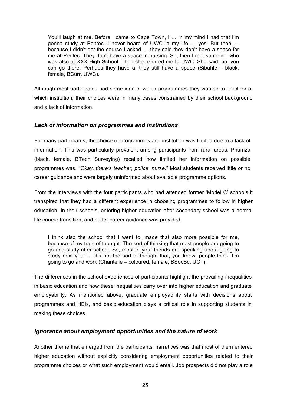You'll laugh at me. Before I came to Cape Town, I ... in my mind I had that I'm gonna study at Pentec. I never heard of UWC in my life … yes. But then … because I didn't get the course I asked … they said they don't have a space for me at Pentec. They don't have a space in nursing. So, then I met someone who was also at XXX High School. Then she referred me to UWC. She said, no, you can go there. Perhaps they have a, they still have a space (Sibahle – black, female, BCurr, UWC).

Although most participants had some idea of which programmes they wanted to enrol for at which institution, their choices were in many cases constrained by their school background and a lack of information.

#### *Lack of information on programmes and institutions*

For many participants, the choice of programmes and institution was limited due to a lack of information. This was particularly prevalent among participants from rural areas. Phumza (black, female, BTech Surveying) recalled how limited her information on possible programmes was, "*Okay, there's teacher, police, nurse*." Most students received little or no career guidance and were largely uninformed about available programme options.

From the interviews with the four participants who had attended former 'Model C' schools it transpired that they had a different experience in choosing programmes to follow in higher education. In their schools, entering higher education after secondary school was a normal life course transition, and better career guidance was provided.

I think also the school that I went to, made that also more possible for me, because of my train of thought. The sort of thinking that most people are going to go and study after school. So, most of your friends are speaking about going to study next year … it's not the sort of thought that, you know, people think, I'm going to go and work (Chantelle – coloured, female, BSocSc, UCT).

The differences in the school experiences of participants highlight the prevailing inequalities in basic education and how these inequalities carry over into higher education and graduate employability. As mentioned above, graduate employability starts with decisions about programmes and HEIs, and basic education plays a critical role in supporting students in making these choices.

#### *Ignorance about employment opportunities and the nature of work*

Another theme that emerged from the participants' narratives was that most of them entered higher education without explicitly considering employment opportunities related to their programme choices or what such employment would entail. Job prospects did not play a role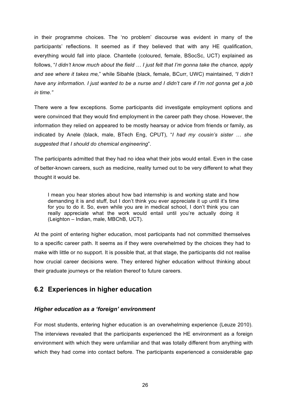in their programme choices. The 'no problem' discourse was evident in many of the participants' reflections. It seemed as if they believed that with any HE qualification, everything would fall into place. Chantelle (coloured, female, BSocSc, UCT) explained as follows, "*I didn't know much about the field … I just felt that I'm gonna take the chance, apply and see where it takes me,*" while Sibahle (black, female, BCurr, UWC) maintained, *"I didn't have any information. I just wanted to be a nurse and I didn't care if I'm not gonna get a job in time."*

There were a few exceptions. Some participants did investigate employment options and were convinced that they would find employment in the career path they chose. However, the information they relied on appeared to be mostly hearsay or advice from friends or family, as indicated by Anele (black, male, BTech Eng, CPUT), "*I had my cousin's sister … she suggested that I should do chemical engineering*".

The participants admitted that they had no idea what their jobs would entail. Even in the case of better-known careers, such as medicine, reality turned out to be very different to what they thought it would be.

I mean you hear stories about how bad internship is and working state and how demanding it is and stuff, but I don't think you ever appreciate it up until it's time for you to do it. So, even while you are in medical school, I don't think you can really appreciate what the work would entail until you're actually doing it (Leighton – Indian, male, MBChB, UCT).

At the point of entering higher education, most participants had not committed themselves to a specific career path. It seems as if they were overwhelmed by the choices they had to make with little or no support. It is possible that, at that stage, the participants did not realise how crucial career decisions were. They entered higher education without thinking about their graduate journeys or the relation thereof to future careers.

#### **6.2 Experiences in higher education**

#### *Higher education as a 'foreign' environment*

For most students, entering higher education is an overwhelming experience (Leuze 2010). The interviews revealed that the participants experienced the HE environment as a foreign environment with which they were unfamiliar and that was totally different from anything with which they had come into contact before. The participants experienced a considerable gap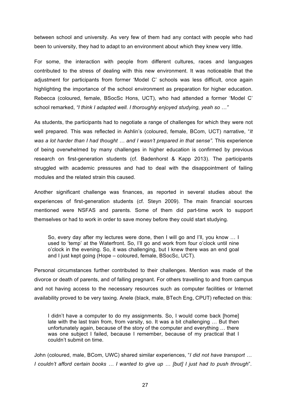between school and university. As very few of them had any contact with people who had been to university, they had to adapt to an environment about which they knew very little.

For some, the interaction with people from different cultures, races and languages contributed to the stress of dealing with this new environment. It was noticeable that the adjustment for participants from former 'Model C' schools was less difficult, once again highlighting the importance of the school environment as preparation for higher education. Rebecca (coloured, female, BSocSc Hons, UCT), who had attended a former 'Model C' school remarked, *"I think I adapted well. I thoroughly enjoyed studying, yeah so …"*

As students, the participants had to negotiate a range of challenges for which they were not well prepared. This was reflected in Ashlin's (coloured, female, BCom, UCT) narrative, "*It was a lot harder than I had thought … and I wasn't prepared in that sense".* This experience of being overwhelmed by many challenges in higher education is confirmed by previous research on first-generation students (cf. Badenhorst & Kapp 2013). The participants struggled with academic pressures and had to deal with the disappointment of failing modules and the related strain this caused.

Another significant challenge was finances, as reported in several studies about the experiences of first-generation students (cf. Steyn 2009). The main financial sources mentioned were NSFAS and parents. Some of them did part-time work to support themselves or had to work in order to save money before they could start studying.

So, every day after my lectures were done, then I will go and I'll, you know … I used to 'temp' at the Waterfront. So, I'll go and work from four o'clock until nine o'clock in the evening. So, it was challenging, but I knew there was an end goal and I just kept going (Hope – coloured, female, BSocSc, UCT).

Personal circumstances further contributed to their challenges. Mention was made of the divorce or death of parents, and of falling pregnant. For others travelling to and from campus and not having access to the necessary resources such as computer facilities or Internet availability proved to be very taxing. Anele (black, male, BTech Eng, CPUT) reflected on this:

I didn't have a computer to do my assignments. So, I would come back [home] late with the last train from, from varsity, so. It was a bit challenging … But then unfortunately again, because of the story of the computer and everything … there was one subject I failed, because I remember, because of my practical that I couldn't submit on time.

John (coloured, male, BCom, UWC) shared similar experiences, "*I did not have transport … I couldn't afford certain books … I wanted to give up … [but] I just had to push through*".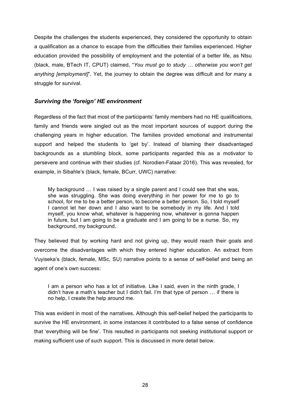Despite the challenges the students experienced, they considered the opportunity to obtain a qualification as a chance to escape from the difficulties their families experienced. Higher education provided the possibility of employment and the potential of a better life, as Ntsu (black, male, BTech IT, CPUT) claimed, "*You must go to study … otherwise you won't get anything [employment]*". Yet, the journey to obtain the degree was difficult and for many a struggle for survival.

#### *Surviving the 'foreign' HE environment*

Regardless of the fact that most of the participants' family members had no HE qualifications, family and friends were singled out as the most important sources of support during the challenging years in higher education. The families provided emotional and instrumental support and helped the students to 'get by'. Instead of blaming their disadvantaged backgrounds as a stumbling block, some participants regarded this as a motivator to persevere and continue with their studies (cf. Norodien-Fataar 2016). This was revealed, for example, in Sibahle's (black, female, BCurr, UWC) narrative:

My background … I was raised by a single parent and I could see that she was, she was struggling. She was doing everything in her power for me to go to school, for me to be a better person, to become a better person. So, I told myself I cannot let her down and I also want to be somebody in my life. And I told myself, you know what, whatever is happening now, whatever is gonna happen in future, but I am going to be a graduate and I am going to be a nurse. So, my background, my background.

They believed that by working hard and not giving up, they would reach their goals and overcome the disadvantages with which they entered higher education. An extract from Vuyiseka's (black, female, MSc, SU) narrative points to a sense of self-belief and being an agent of one's own success:

I am a person who has a lot of initiative. Like I said, even in the ninth grade, I didn't have a math's teacher but I didn't fail. I'm that type of person … if there is no help, I create the help around me.

This was evident in most of the narratives. Although this self-belief helped the participants to survive the HE environment, in some instances it contributed to a false sense of confidence that 'everything will be fine'. This resulted in participants not seeking institutional support or making sufficient use of such support. This is discussed in more detail below.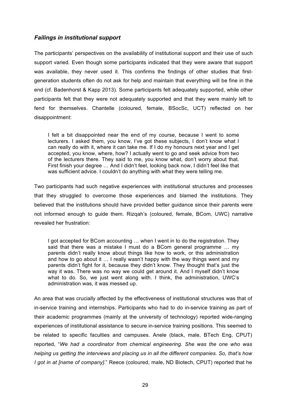#### *Failings in institutional support*

The participants' perspectives on the availability of institutional support and their use of such support varied. Even though some participants indicated that they were aware that support was available, they never used it. This confirms the findings of other studies that firstgeneration students often do not ask for help and maintain that everything will be fine in the end (cf. Badenhorst & Kapp 2013). Some participants felt adequately supported, while other participants felt that they were not adequately supported and that they were mainly left to fend for themselves. Chantelle (coloured, female, BSocSc, UCT) reflected on her disappointment:

I felt a bit disappointed near the end of my course, because I went to some lecturers. I asked them, you know, I've got these subjects, I don't know what I can really do with it, where it can take me. If I do my honours next year and I get accepted, you know, where, how? I actually went to go and seek advice from two of the lecturers there. They said to me, you know what, don't worry about that. First finish your degree … And I didn't feel, looking back now, I didn't feel like that was sufficient advice. I couldn't do anything with what they were telling me.

Two participants had such negative experiences with institutional structures and processes that they struggled to overcome those experiences and blamed the institutions. They believed that the institutions should have provided better guidance since their parents were not informed enough to guide them. Rizqah's (coloured, female, BCom, UWC) narrative revealed her frustration:

I got accepted for BCom accounting … when I went in to do the registration. They said that there was a mistake I must do a BCom general programme ... my parents didn't really know about things like how to work, or this administration and how to go about it … I really wasn't happy with the way things went and my parents didn't fight for it, because they didn't know. They thought that's just the way it was. There was no way we could get around it. And I myself didn't know what to do. So, we just went along with. I think, the administration, UWC's administration was, it was messed up.

An area that was crucially affected by the effectiveness of institutional structures was that of in-service training and internships. Participants who had to do in-service training as part of their academic programmes (mainly at the university of technology) reported wide-ranging experiences of institutional assistance to secure in-service training positions. This seemed to be related to specific faculties and campuses. Anele (black, male, BTech Eng, CPUT) reported, "*We had a coordinator from chemical engineering. She was the one who was helping us getting the interviews and placing us in all the different companies. So, that's how I got in at [name of company]*." Reece (coloured, male, ND Biotech, CPUT) reported that he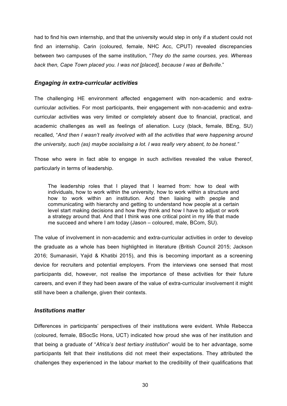had to find his own internship, and that the university would step in only if a student could not find an internship. Carin (coloured, female, NHC Acc, CPUT) revealed discrepancies between two campuses of the same institution, "*They do the same courses, yes. Whereas back then, Cape Town placed you. I was not [placed], because I was at Bellville*."

#### *Engaging in extra-curricular activities*

The challenging HE environment affected engagement with non-academic and extracurricular activities. For most participants, their engagement with non-academic and extracurricular activities was very limited or completely absent due to financial, practical, and academic challenges as well as feelings of alienation. Lucy (black, female, BEng, SU) recalled, "*And then I wasn't really involved with all the activities that were happening around the university, such (as) maybe socialising a lot. I was really very absent, to be honest."* 

Those who were in fact able to engage in such activities revealed the value thereof, particularly in terms of leadership.

The leadership roles that I played that I learned from: how to deal with individuals, how to work within the university, how to work within a structure and how to work within an institution. And then liaising with people and communicating with hierarchy and getting to understand how people at a certain level start making decisions and how they think and how I have to adjust or work a strategy around that. And that I think was one critical point in my life that made me succeed and where I am today (Jason – coloured, male, BCom, SU).

The value of involvement in non-academic and extra-curricular activities in order to develop the graduate as a whole has been highlighted in literature (British Council 2015; Jackson 2016; Sumanasiri, Yajid & Khatibi 2015), and this is becoming important as a screening device for recruiters and potential employers. From the interviews one sensed that most participants did, however, not realise the importance of these activities for their future careers, and even if they had been aware of the value of extra-curricular involvement it might still have been a challenge, given their contexts.

### *Institutions matter*

Differences in participants' perspectives of their institutions were evident. While Rebecca (coloured, female, BSocSc Hons, UCT) indicated how proud she was of her institution and that being a graduate of "*Africa's best tertiary institution*" would be to her advantage, some participants felt that their institutions did not meet their expectations. They attributed the challenges they experienced in the labour market to the credibility of their qualifications that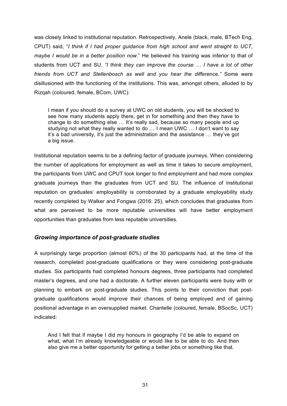was closely linked to institutional reputation. Retrospectively, Anele (black, male, BTech Eng, CPUT) said, "*I think if I had proper guidance from high school and went straight to UCT, maybe I would be in a better position now.*" He believed his training was inferior to that of students from UCT and SU. *"I think they can improve the course … I have a lot of other friends from UCT and Stellenbosch as well and you hear the difference."* Some were disillusioned with the functioning of the institutions. This was, amongst others, alluded to by Rizqah (coloured, female, BCom, UWC):

I mean if you should do a survey at UWC on old students, you will be shocked to see how many students apply there, get in for something and then they have to change to do something else … It's really sad, because so many people end up studying not what they really wanted to do … I mean UWC … I don't want to say it's a bad university, it's just the administration and the assistance … they've got a big issue.

Institutional reputation seems to be a defining factor of graduate journeys. When considering the number of applications for employment as well as time it takes to secure employment, the participants from UWC and CPUT took longer to find employment and had more complex graduate journeys than the graduates from UCT and SU. The influence of institutional reputation on graduates' employability is corroborated by a graduate employability study recently completed by Walker and Fongwa (2016: 25), which concludes that graduates from what are perceived to be more reputable universities will have better employment opportunities than graduates from less reputable universities.

### *Growing importance of post-graduate studies*

A surprisingly large proportion (almost 60%) of the 30 participants had, at the time of the research, completed post-graduate qualifications or they were considering post-graduate studies. Six participants had completed honours degrees, three participants had completed master's degrees, and one had a doctorate. A further eleven participants were busy with or planning to embark on post-graduate studies. This points to their conviction that postgraduate qualifications would improve their chances of being employed and of gaining positional advantage in an oversupplied market. Chantelle (coloured, female, BSocSc, UCT) indicated:

And I felt that if maybe I did my honours in geography I'd be able to expand on what, what I'm already knowledgeable or would like to be able to do. And then also give me a better opportunity for getting a better jobs or something like that.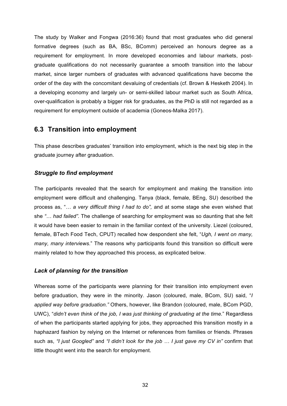The study by Walker and Fongwa (2016:36) found that most graduates who did general formative degrees (such as BA, BSc, BComm) perceived an honours degree as a requirement for employment. In more developed economies and labour markets, postgraduate qualifications do not necessarily guarantee a smooth transition into the labour market, since larger numbers of graduates with advanced qualifications have become the order of the day with the concomitant devaluing of credentials (cf. Brown & Hesketh 2004). In a developing economy and largely un- or semi-skilled labour market such as South Africa, over-qualification is probably a bigger risk for graduates, as the PhD is still not regarded as a requirement for employment outside of academia (Goneos-Malka 2017).

### **6.3 Transition into employment**

This phase describes graduates' transition into employment, which is the next big step in the graduate journey after graduation.

### *Struggle to find employment*

The participants revealed that the search for employment and making the transition into employment were difficult and challenging. Tanya (black, female, BEng, SU) described the process as, "*… a very difficult thing I had to do",* and at some stage she even wished that she *"… had failed".* The challenge of searching for employment was so daunting that she felt it would have been easier to remain in the familiar context of the university. Liezel (coloured, female, BTech Food Tech, CPUT) recalled how despondent she felt, "*Ugh, I went on many, many, many interviews.*" The reasons why participants found this transition so difficult were mainly related to how they approached this process, as explicated below.

### *Lack of planning for the transition*

Whereas some of the participants were planning for their transition into employment even before graduation, they were in the minority. Jason (coloured, male, BCom, SU) said, "*I applied way before graduation."* Others, however, like Brandon (coloured, male, BCom PGD, UWC), "*didn't even think of the job, I was just thinking of graduating at the time.*" Regardless of when the participants started applying for jobs, they approached this transition mostly in a haphazard fashion by relying on the Internet or references from families or friends. Phrases such as, *"I just Googled"* and *"I didn't look for the job … I just gave my CV in"* confirm that little thought went into the search for employment.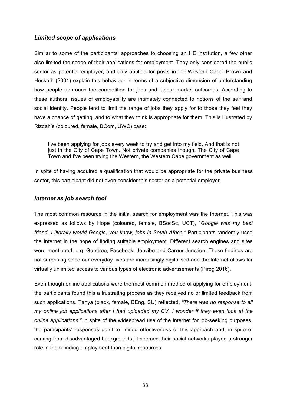### *Limited scope of applications*

Similar to some of the participants' approaches to choosing an HE institution, a few other also limited the scope of their applications for employment. They only considered the public sector as potential employer, and only applied for posts in the Western Cape. Brown and Hesketh (2004) explain this behaviour in terms of a subjective dimension of understanding how people approach the competition for jobs and labour market outcomes. According to these authors, issues of employability are intimately connected to notions of the self and social identity. People tend to limit the range of jobs they apply for to those they feel they have a chance of getting, and to what they think is appropriate for them. This is illustrated by Rizqah's (coloured, female, BCom, UWC) case:

I've been applying for jobs every week to try and get into my field. And that is not just in the City of Cape Town. Not private companies though. The City of Cape Town and I've been trying the Western, the Western Cape government as well.

In spite of having acquired a qualification that would be appropriate for the private business sector, this participant did not even consider this sector as a potential employer.

### *Internet as job search tool*

The most common resource in the initial search for employment was the Internet. This was expressed as follows by Hope (coloured, female, BSocSc, UCT), "*Google was my best friend. I literally would Google, you know, jobs in South Africa."* Participants randomly used the Internet in the hope of finding suitable employment. Different search engines and sites were mentioned, e.g. Gumtree, Facebook, Jobvibe and Career Junction. These findings are not surprising since our everyday lives are increasingly digitalised and the Internet allows for virtually unlimited access to various types of electronic advertisements (Piróg 2016).

Even though online applications were the most common method of applying for employment, the participants found this a frustrating process as they received no or limited feedback from such applications. Tanya (black, female, BEng, SU) reflected, *"There was no response to all my online job applications after I had uploaded my CV. I wonder if they even look at the online applications."* In spite of the widespread use of the Internet for job-seeking purposes, the participants' responses point to limited effectiveness of this approach and, in spite of coming from disadvantaged backgrounds, it seemed their social networks played a stronger role in them finding employment than digital resources.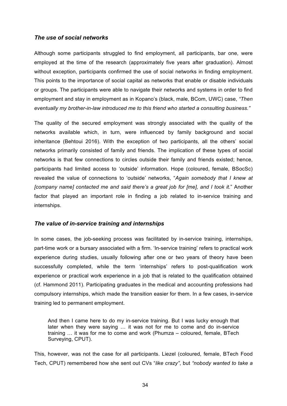### *The use of social networks*

Although some participants struggled to find employment, all participants, bar one, were employed at the time of the research (approximately five years after graduation). Almost without exception, participants confirmed the use of social networks in finding employment. This points to the importance of social capital as networks that enable or disable individuals or groups. The participants were able to navigate their networks and systems in order to find employment and stay in employment as in Kopano's (black, male, BCom, UWC) case, *"Then eventually my brother-in-law introduced me to this friend who started a consulting business."*

The quality of the secured employment was strongly associated with the quality of the networks available which, in turn, were influenced by family background and social inheritance (Behtoui 2016). With the exception of two participants, all the others' social networks primarily consisted of family and friends. The implication of these types of social networks is that few connections to circles outside their family and friends existed; hence, participants had limited access to 'outside' information. Hope (coloured, female, BSocSc) revealed the value of connections to 'outside' networks, "*Again somebody that I knew at [company name] contacted me and said there's a great job for [me], and I took it.*" Another factor that played an important role in finding a job related to in-service training and internships.

### *The value of in-service training and internships*

In some cases, the job-seeking process was facilitated by in-service training, internships, part-time work or a bursary associated with a firm. 'In-service training' refers to practical work experience during studies, usually following after one or two years of theory have been successfully completed, while the term 'internships' refers to post-qualification work experience or practical work experience in a job that is related to the qualification obtained (cf. Hammond 2011). Participating graduates in the medical and accounting professions had compulsory internships, which made the transition easier for them. In a few cases, in-service training led to permanent employment.

And then I came here to do my in-service training. But I was lucky enough that later when they were saying … it was not for me to come and do in-service training … it was for me to come and work (Phumza – coloured, female, BTech Surveying, CPUT).

This, however, was not the case for all participants. Liezel (coloured, female, BTech Food Tech, CPUT) remembered how she sent out CVs "*like crazy"*, but *"nobody wanted to take a*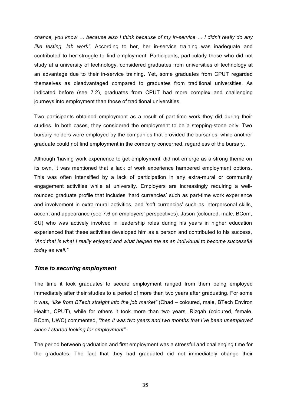*chance, you know … because also I think because of my in-service … I didn't really do any like testing, lab work".* According to her, her in-service training was inadequate and contributed to her struggle to find employment. Participants, particularly those who did not study at a university of technology, considered graduates from universities of technology at an advantage due to their in-service training. Yet, some graduates from CPUT regarded themselves as disadvantaged compared to graduates from traditional universities. As indicated before (see 7.2), graduates from CPUT had more complex and challenging journeys into employment than those of traditional universities.

Two participants obtained employment as a result of part-time work they did during their studies. In both cases, they considered the employment to be a stepping-stone only. Two bursary holders were employed by the companies that provided the bursaries, while another graduate could not find employment in the company concerned, regardless of the bursary.

Although 'having work experience to get employment' did not emerge as a strong theme on its own, it was mentioned that a lack of work experience hampered employment options. This was often intensified by a lack of participation in any extra-mural or community engagement activities while at university. Employers are increasingly requiring a wellrounded graduate profile that includes 'hard currencies' such as part-time work experience and involvement in extra-mural activities, and 'soft currencies' such as interpersonal skills, accent and appearance (see 7.6 on employers' perspectives). Jason (coloured, male, BCom, SU) who was actively involved in leadership roles during his years in higher education experienced that these activities developed him as a person and contributed to his success, *"And that is what I really enjoyed and what helped me as an individual to become successful today as well."*

### *Time to securing employment*

The time it took graduates to secure employment ranged from them being employed immediately after their studies to a period of more than two years after graduating. For some it was, *"like from BTech straight into the job market"* (Chad – coloured, male, BTech Environ Health, CPUT), while for others it took more than two years. Rizqah (coloured, female, BCom, UWC) commented, *"then it was two years and two months that I've been unemployed since I started looking for employment".*

The period between graduation and first employment was a stressful and challenging time for the graduates. The fact that they had graduated did not immediately change their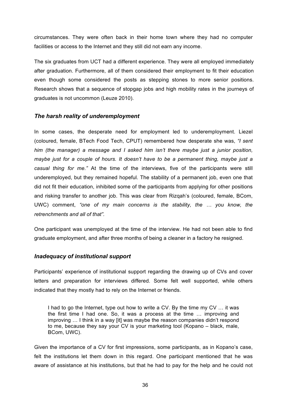circumstances. They were often back in their home town where they had no computer facilities or access to the Internet and they still did not earn any income.

The six graduates from UCT had a different experience. They were all employed immediately after graduation. Furthermore, all of them considered their employment to fit their education even though some considered the posts as stepping stones to more senior positions. Research shows that a sequence of stopgap jobs and high mobility rates in the journeys of graduates is not uncommon (Leuze 2010).

### *The harsh reality of underemployment*

In some cases, the desperate need for employment led to underemployment. Liezel (coloured, female, BTech Food Tech, CPUT) remembered how desperate she was, *"I sent him (the manager) a message and I asked him isn't there maybe just a junior position, maybe just for a couple of hours. It doesn't have to be a permanent thing, maybe just a casual thing for me."* At the time of the interviews, five of the participants were still underemployed, but they remained hopeful. The stability of a permanent job, even one that did not fit their education, inhibited some of the participants from applying for other positions and risking transfer to another job. This was clear from Rizqah's (coloured, female, BCom, UWC) comment, *"one of my main concerns is the stability, the … you know, the retrenchments and all of that".*

One participant was unemployed at the time of the interview. He had not been able to find graduate employment, and after three months of being a cleaner in a factory he resigned.

### *Inadequacy of institutional support*

Participants' experience of institutional support regarding the drawing up of CVs and cover letters and preparation for interviews differed. Some felt well supported, while others indicated that they mostly had to rely on the Internet or friends.

I had to go the Internet, type out how to write a CV. By the time my CV … it was the first time I had one. So, it was a process at the time … improving and improving … I think in a way [it] was maybe the reason companies didn't respond to me, because they say your CV is your marketing tool (Kopano – black, male, BCom, UWC).

Given the importance of a CV for first impressions, some participants, as in Kopano's case, felt the institutions let them down in this regard. One participant mentioned that he was aware of assistance at his institutions, but that he had to pay for the help and he could not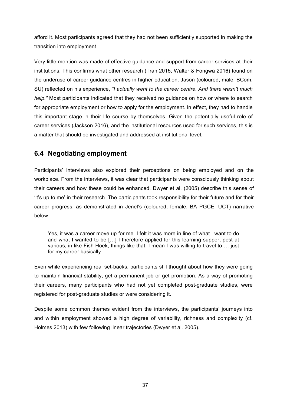afford it. Most participants agreed that they had not been sufficiently supported in making the transition into employment.

Very little mention was made of effective guidance and support from career services at their institutions. This confirms what other research (Tran 2015; Walter & Fongwa 2016) found on the underuse of career guidance centres in higher education. Jason (coloured, male, BCom, SU) reflected on his experience, *"I actually went to the career centre. And there wasn't much help."* Most participants indicated that they received no guidance on how or where to search for appropriate employment or how to apply for the employment. In effect, they had to handle this important stage in their life course by themselves. Given the potentially useful role of career services (Jackson 2016), and the institutional resources used for such services, this is a matter that should be investigated and addressed at institutional level.

### **6.4 Negotiating employment**

Participants' interviews also explored their perceptions on being employed and on the workplace. From the interviews, it was clear that participants were consciously thinking about their careers and how these could be enhanced. Dwyer et al. (2005) describe this sense of 'it's up to me' in their research. The participants took responsibility for their future and for their career progress, as demonstrated in Jenel's (coloured, female, BA PGCE, UCT) narrative below.

Yes, it was a career move up for me. I felt it was more in line of what I want to do and what I wanted to be […] I therefore applied for this learning support post at various, in like Fish Hoek, things like that. I mean I was willing to travel to … just for my career basically.

Even while experiencing real set-backs, participants still thought about how they were going to maintain financial stability, get a permanent job or get promotion. As a way of promoting their careers, many participants who had not yet completed post-graduate studies, were registered for post-graduate studies or were considering it.

Despite some common themes evident from the interviews, the participants' journeys into and within employment showed a high degree of variability, richness and complexity (cf. Holmes 2013) with few following linear trajectories (Dwyer et al. 2005).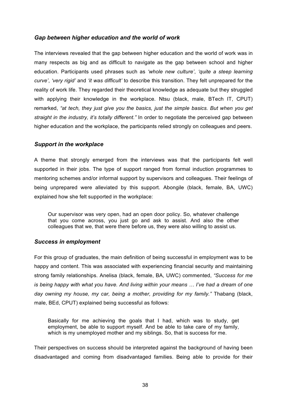### *Gap between higher education and the world of work*

The interviews revealed that the gap between higher education and the world of work was in many respects as big and as difficult to navigate as the gap between school and higher education. Participants used phrases such as *'whole new culture'*, *'quite a steep learning curve'*, *'very rigid'* and *'it was difficult'* to describe this transition. They felt unprepared for the reality of work life. They regarded their theoretical knowledge as adequate but they struggled with applying their knowledge in the workplace. Ntsu (black, male, BTech IT, CPUT) remarked, *"at tech, they just give you the basics, just the simple basics. But when you get straight in the industry, it's totally different."* In order to negotiate the perceived gap between higher education and the workplace, the participants relied strongly on colleagues and peers.

### *Support in the workplace*

A theme that strongly emerged from the interviews was that the participants felt well supported in their jobs. The type of support ranged from formal induction programmes to mentoring schemes and/or informal support by supervisors and colleagues. Their feelings of being unprepared were alleviated by this support. Abongile (black, female, BA, UWC) explained how she felt supported in the workplace:

Our supervisor was very open, had an open door policy. So, whatever challenge that you come across, you just go and ask to assist. And also the other colleagues that we, that were there before us, they were also willing to assist us.

### *Success in employment*

For this group of graduates, the main definition of being successful in employment was to be happy and content. This was associated with experiencing financial security and maintaining strong family relationships. Anelisa (black, female, BA, UWC) commented, *"Success for me is being happy with what you have. And living within your means … I've had a dream of one day owning my house, my car, being a mother, providing for my family."* Thabang (black, male, BEd, CPUT) explained being successful as follows:

Basically for me achieving the goals that I had, which was to study, get employment, be able to support myself. And be able to take care of my family, which is my unemployed mother and my siblings. So, that is success for me.

Their perspectives on success should be interpreted against the background of having been disadvantaged and coming from disadvantaged families. Being able to provide for their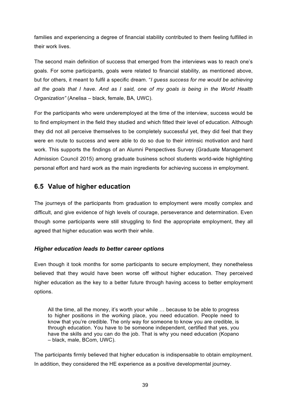families and experiencing a degree of financial stability contributed to them feeling fulfilled in their work lives.

The second main definition of success that emerged from the interviews was to reach one's goals. For some participants, goals were related to financial stability, as mentioned above, but for others, it meant to fulfil a specific dream. "*I guess success for me would be achieving all the goals that I have. And as I said, one of my goals is being in the World Health Organization"* (Anelisa – black, female, BA, UWC).

For the participants who were underemployed at the time of the interview, success would be to find employment in the field they studied and which fitted their level of education. Although they did not all perceive themselves to be completely successful yet, they did feel that they were en route to success and were able to do so due to their intrinsic motivation and hard work. This supports the findings of an Alumni Perspectives Survey (Graduate Management Admission Council 2015) among graduate business school students world-wide highlighting personal effort and hard work as the main ingredients for achieving success in employment.

### **6.5 Value of higher education**

The journeys of the participants from graduation to employment were mostly complex and difficult, and give evidence of high levels of courage, perseverance and determination. Even though some participants were still struggling to find the appropriate employment, they all agreed that higher education was worth their while.

### *Higher education leads to better career options*

Even though it took months for some participants to secure employment, they nonetheless believed that they would have been worse off without higher education. They perceived higher education as the key to a better future through having access to better employment options.

All the time, all the money, it's worth your while … because to be able to progress to higher positions in the working place, you need education. People need to know that you're credible. The only way for someone to know you are credible, is through education. You have to be someone independent, certified that yes, you have the skills and you can do the job. That is why you need education (Kopano – black, male, BCom, UWC).

The participants firmly believed that higher education is indispensable to obtain employment. In addition, they considered the HE experience as a positive developmental journey.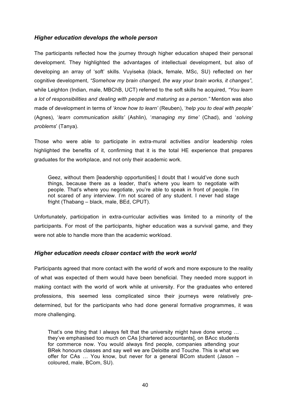### *Higher education develops the whole person*

The participants reflected how the journey through higher education shaped their personal development. They highlighted the advantages of intellectual development, but also of developing an array of 'soft' skills. Vuyiseka (black, female, MSc, SU) reflected on her cognitive development, *"Somehow my brain changed, the way your brain works, it changes"*, while Leighton (Indian, male, MBChB, UCT) referred to the soft skills he acquired, *"You learn a lot of responsibilities and dealing with people and maturing as a person."* Mention was also made of development in terms of '*know how to learn'* (Reuben), '*help you to deal with people'* (Agnes), '*learn communication skills'* (Ashlin), '*managing my time'* (Chad), and '*solving problems*' (Tanya).

Those who were able to participate in extra-mural activities and/or leadership roles highlighted the benefits of it, confirming that it is the total HE experience that prepares graduates for the workplace, and not only their academic work.

Geez, without them [leadership opportunities] I doubt that I would've done such things, because there as a leader, that's where you learn to negotiate with people. That's where you negotiate, you're able to speak in front of people. I'm not scared of any interview. I'm not scared of any student. I never had stage fright (Thabang – black, male, BEd, CPUT).

Unfortunately, participation in extra-curricular activities was limited to a minority of the participants. For most of the participants, higher education was a survival game, and they were not able to handle more than the academic workload.

### *Higher education needs closer contact with the work world*

Participants agreed that more contact with the world of work and more exposure to the reality of what was expected of them would have been beneficial. They needed more support in making contact with the world of work while at university. For the graduates who entered professions, this seemed less complicated since their journeys were relatively predetermined, but for the participants who had done general formative programmes, it was more challenging.

That's one thing that I always felt that the university might have done wrong … they've emphasised too much on CAs [chartered accountants], on BAcc students for commerce now. You would always find people, companies attending your BRek honours classes and say well we are Deloitte and Touche. This is what we offer for CAs … You know, but never for a general BCom student (Jason – coloured, male, BCom, SU).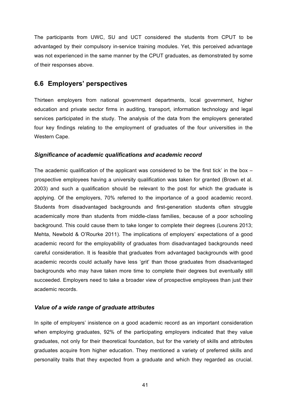The participants from UWC, SU and UCT considered the students from CPUT to be advantaged by their compulsory in-service training modules. Yet, this perceived advantage was not experienced in the same manner by the CPUT graduates, as demonstrated by some of their responses above.

### **6.6 Employers' perspectives**

Thirteen employers from national government departments, local government, higher education and private sector firms in auditing, transport, information technology and legal services participated in the study. The analysis of the data from the employers generated four key findings relating to the employment of graduates of the four universities in the Western Cape.

### *Significance of academic qualifications and academic record*

The academic qualification of the applicant was considered to be 'the first tick' in the box  $$ prospective employees having a university qualification was taken for granted (Brown et al. 2003) and such a qualification should be relevant to the post for which the graduate is applying. Of the employers, 70% referred to the importance of a good academic record. Students from disadvantaged backgrounds and first-generation students often struggle academically more than students from middle-class families, because of a poor schooling background. This could cause them to take longer to complete their degrees (Lourens 2013; Mehta, Newbold & O'Rourke 2011). The implications of employers' expectations of a good academic record for the employability of graduates from disadvantaged backgrounds need careful consideration. It is feasible that graduates from advantaged backgrounds with good academic records could actually have less 'grit' than those graduates from disadvantaged backgrounds who may have taken more time to complete their degrees but eventually still succeeded. Employers need to take a broader view of prospective employees than just their academic records.

### *Value of a wide range of graduate attributes*

In spite of employers' insistence on a good academic record as an important consideration when employing graduates, 92% of the participating employers indicated that they value graduates, not only for their theoretical foundation, but for the variety of skills and attributes graduates acquire from higher education. They mentioned a variety of preferred skills and personality traits that they expected from a graduate and which they regarded as crucial.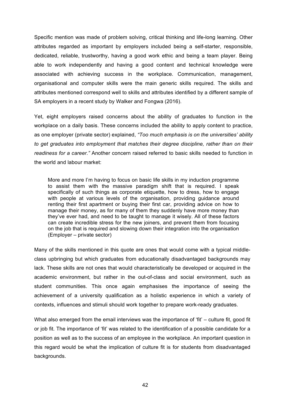Specific mention was made of problem solving, critical thinking and life-long learning. Other attributes regarded as important by employers included being a self-starter, responsible, dedicated, reliable, trustworthy, having a good work ethic and being a team player. Being able to work independently and having a good content and technical knowledge were associated with achieving success in the workplace. Communication, management, organisational and computer skills were the main generic skills required. The skills and attributes mentioned correspond well to skills and attributes identified by a different sample of SA employers in a recent study by Walker and Fongwa (2016).

Yet, eight employers raised concerns about the ability of graduates to function in the workplace on a daily basis. These concerns included the ability to apply content to practice, as one employer (private sector) explained, *"Too much emphasis is on the universities' ability to get graduates into employment that matches their degree discipline, rather than on their readiness for a career."* Another concern raised referred to basic skills needed to function in the world and labour market:

More and more I'm having to focus on basic life skills in my induction programme to assist them with the massive paradigm shift that is required. I speak specifically of such things as corporate etiquette, how to dress, how to engage with people at various levels of the organisation, providing quidance around renting their first apartment or buying their first car, providing advice on how to manage their money, as for many of them they suddenly have more money than they've ever had, and need to be taught to manage it wisely. All of these factors can create incredible stress for the new joiners, and prevent them from focusing on the job that is required and slowing down their integration into the organisation (Employer – private sector)

Many of the skills mentioned in this quote are ones that would come with a typical middleclass upbringing but which graduates from educationally disadvantaged backgrounds may lack. These skills are not ones that would characteristically be developed or acquired in the academic environment, but rather in the out-of-class and social environment, such as student communities. This once again emphasises the importance of seeing the achievement of a university qualification as a holistic experience in which a variety of contexts, influences and stimuli should work together to prepare work-ready graduates.

What also emerged from the email interviews was the importance of 'fit' – culture fit, good fit or job fit. The importance of 'fit' was related to the identification of a possible candidate for a position as well as to the success of an employee in the workplace. An important question in this regard would be what the implication of culture fit is for students from disadvantaged backgrounds.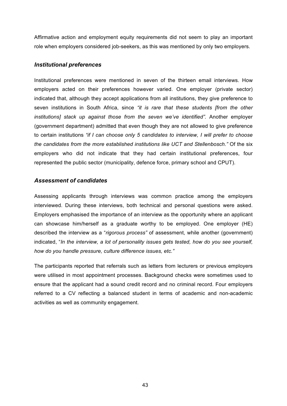Affirmative action and employment equity requirements did not seem to play an important role when employers considered job-seekers, as this was mentioned by only two employers.

### *Institutional preferences*

Institutional preferences were mentioned in seven of the thirteen email interviews. How employers acted on their preferences however varied. One employer (private sector) indicated that, although they accept applications from all institutions, they give preference to seven institutions in South Africa, since *"it is rare that these students [from the other institutions] stack up against those from the seven we've identified".* Another employer (government department) admitted that even though they are not allowed to give preference to certain institutions *"if I can choose only 5 candidates to interview, I will prefer to choose the candidates from the more established institutions like UCT and Stellenbosch."* Of the six employers who did not indicate that they had certain institutional preferences, four represented the public sector (municipality, defence force, primary school and CPUT).

### *Assessment of candidates*

Assessing applicants through interviews was common practice among the employers interviewed. During these interviews, both technical and personal questions were asked. Employers emphasised the importance of an interview as the opportunity where an applicant can showcase him/herself as a graduate worthy to be employed. One employer (HE) described the interview as a "*rigorous process"* of assessment, while another (government) indicated, "*In the interview, a lot of personality issues gets tested, how do you see yourself, how do you handle pressure, culture difference issues, etc."*

The participants reported that referrals such as letters from lecturers or previous employers were utilised in most appointment processes. Background checks were sometimes used to ensure that the applicant had a sound credit record and no criminal record. Four employers referred to a CV reflecting a balanced student in terms of academic and non-academic activities as well as community engagement.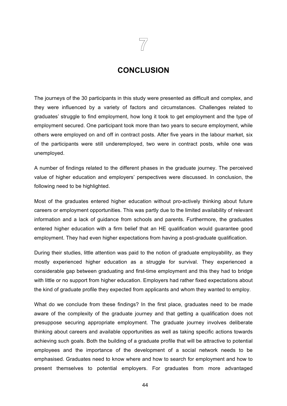### **CONCLUSION**

The journeys of the 30 participants in this study were presented as difficult and complex, and they were influenced by a variety of factors and circumstances. Challenges related to graduates' struggle to find employment, how long it took to get employment and the type of employment secured. One participant took more than two years to secure employment, while others were employed on and off in contract posts. After five years in the labour market, six of the participants were still underemployed, two were in contract posts, while one was unemployed.

A number of findings related to the different phases in the graduate journey. The perceived value of higher education and employers' perspectives were discussed. In conclusion, the following need to be highlighted.

Most of the graduates entered higher education without pro-actively thinking about future careers or employment opportunities. This was partly due to the limited availability of relevant information and a lack of guidance from schools and parents. Furthermore, the graduates entered higher education with a firm belief that an HE qualification would guarantee good employment. They had even higher expectations from having a post-graduate qualification.

During their studies, little attention was paid to the notion of graduate employability, as they mostly experienced higher education as a struggle for survival. They experienced a considerable gap between graduating and first-time employment and this they had to bridge with little or no support from higher education. Employers had rather fixed expectations about the kind of graduate profile they expected from applicants and whom they wanted to employ.

What do we conclude from these findings? In the first place, graduates need to be made aware of the complexity of the graduate journey and that getting a qualification does not presuppose securing appropriate employment. The graduate journey involves deliberate thinking about careers and available opportunities as well as taking specific actions towards achieving such goals. Both the building of a graduate profile that will be attractive to potential employees and the importance of the development of a social network needs to be emphasised. Graduates need to know where and how to search for employment and how to present themselves to potential employers. For graduates from more advantaged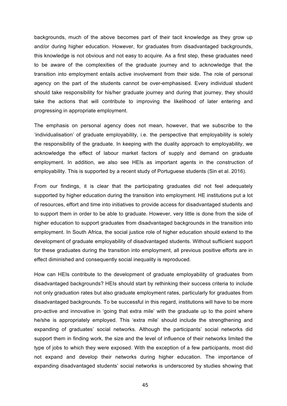backgrounds, much of the above becomes part of their tacit knowledge as they grow up and/or during higher education. However, for graduates from disadvantaged backgrounds, this knowledge is not obvious and not easy to acquire. As a first step, these graduates need to be aware of the complexities of the graduate journey and to acknowledge that the transition into employment entails active involvement from their side. The role of personal agency on the part of the students cannot be over-emphasised. Every individual student should take responsibility for his/her graduate journey and during that journey, they should take the actions that will contribute to improving the likelihood of later entering and progressing in appropriate employment.

The emphasis on personal agency does not mean, however, that we subscribe to the 'individualisation' of graduate employability, i.e. the perspective that employability is solely the responsibility of the graduate. In keeping with the duality approach to employability, we acknowledge the effect of labour market factors of supply and demand on graduate employment. In addition, we also see HEIs as important agents in the construction of employability. This is supported by a recent study of Portuguese students (Sin et al. 2016).

From our findings, it is clear that the participating graduates did not feel adequately supported by higher education during the transition into employment. HE institutions put a lot of resources, effort and time into initiatives to provide access for disadvantaged students and to support them in order to be able to graduate. However, very little is done from the side of higher education to support graduates from disadvantaged backgrounds in the transition into employment. In South Africa, the social justice role of higher education should extend to the development of graduate employability of disadvantaged students. Without sufficient support for these graduates during the transition into employment, all previous positive efforts are in effect diminished and consequently social inequality is reproduced.

How can HEIs contribute to the development of graduate employability of graduates from disadvantaged backgrounds? HEIs should start by rethinking their success criteria to include not only graduation rates but also graduate employment rates, particularly for graduates from disadvantaged backgrounds. To be successful in this regard, institutions will have to be more pro-active and innovative in 'going that extra mile' with the graduate up to the point where he/she is appropriately employed. This 'extra mile' should include the strengthening and expanding of graduates' social networks. Although the participants' social networks did support them in finding work, the size and the level of influence of their networks limited the type of jobs to which they were exposed. With the exception of a few participants, most did not expand and develop their networks during higher education. The importance of expanding disadvantaged students' social networks is underscored by studies showing that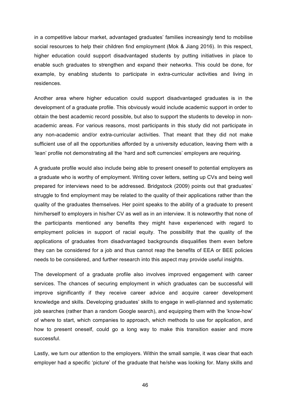in a competitive labour market, advantaged graduates' families increasingly tend to mobilise social resources to help their children find employment (Mok & Jiang 2016). In this respect, higher education could support disadvantaged students by putting initiatives in place to enable such graduates to strengthen and expand their networks. This could be done, for example, by enabling students to participate in extra-curricular activities and living in residences.

Another area where higher education could support disadvantaged graduates is in the development of a graduate profile. This obviously would include academic support in order to obtain the best academic record possible, but also to support the students to develop in nonacademic areas. For various reasons, most participants in this study did not participate in any non-academic and/or extra-curricular activities. That meant that they did not make sufficient use of all the opportunities afforded by a university education, leaving them with a 'lean' profile not demonstrating all the 'hard and soft currencies' employers are requiring.

A graduate profile would also include being able to present oneself to potential employers as a graduate who is worthy of employment. Writing cover letters, setting up CVs and being well prepared for interviews need to be addressed. Bridgstock (2009) points out that graduates' struggle to find employment may be related to the quality of their applications rather than the quality of the graduates themselves. Her point speaks to the ability of a graduate to present him/herself to employers in his/her CV as well as in an interview. It is noteworthy that none of the participants mentioned any benefits they might have experienced with regard to employment policies in support of racial equity. The possibility that the quality of the applications of graduates from disadvantaged backgrounds disqualifies them even before they can be considered for a job and thus cannot reap the benefits of EEA or BEE policies needs to be considered, and further research into this aspect may provide useful insights.

The development of a graduate profile also involves improved engagement with career services. The chances of securing employment in which graduates can be successful will improve significantly if they receive career advice and acquire career development knowledge and skills. Developing graduates' skills to engage in well-planned and systematic job searches (rather than a random Google search), and equipping them with the 'know-how' of where to start, which companies to approach, which methods to use for application, and how to present oneself, could go a long way to make this transition easier and more successful.

Lastly, we turn our attention to the employers. Within the small sample, it was clear that each employer had a specific 'picture' of the graduate that he/she was looking for. Many skills and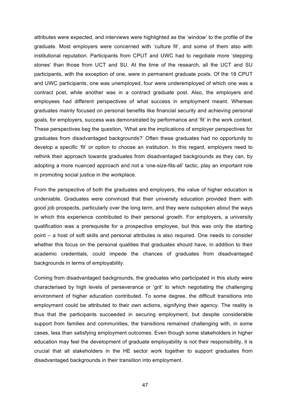attributes were expected, and interviews were highlighted as the 'window' to the profile of the graduate. Most employers were concerned with 'culture fit', and some of them also with institutional reputation. Participants from CPUT and UWC had to negotiate more 'stepping stones' than those from UCT and SU. At the time of the research, all the UCT and SU participants, with the exception of one, were in permanent graduate posts. Of the 18 CPUT and UWC participants, one was unemployed, four were underemployed of which one was a contract post, while another was in a contract graduate post. Also, the employers and employees had different perspectives of what success in employment meant. Whereas graduates mainly focused on personal benefits like financial security and achieving personal goals, for employers, success was demonstrated by performance and 'fit' in the work context. These perspectives beg the question, 'What are the implications of employer perspectives for graduates from disadvantaged backgrounds?' Often these graduates had no opportunity to develop a specific 'fit' or option to choose an institution. In this regard, employers need to rethink their approach towards graduates from disadvantaged backgrounds as they can, by adopting a more nuanced approach and not a 'one-size-fits-all' tactic, play an important role in promoting social justice in the workplace.

From the perspective of both the graduates and employers, the value of higher education is undeniable. Graduates were convinced that their university education provided them with good job prospects, particularly over the long term, and they were outspoken about the ways in which this experience contributed to their personal growth. For employers, a university qualification was a prerequisite for a prospective employee, but this was only the starting point – a host of soft skills and personal attributes is also required. One needs to consider whether this focus on the personal qualities that graduates should have, in addition to their academic credentials, could impede the chances of graduates from disadvantaged backgrounds in terms of employability.

Coming from disadvantaged backgrounds, the graduates who participated in this study were characterised by high levels of perseverance or 'grit' to which negotiating the challenging environment of higher education contributed. To some degree, the difficult transitions into employment could be attributed to their own actions, signifying their agency. The reality is thus that the participants succeeded in securing employment, but despite considerable support from families and communities, the transitions remained challenging with, in some cases, less than satisfying employment outcomes. Even though some stakeholders in higher education may feel the development of graduate employability is not their responsibility, it is crucial that all stakeholders in the HE sector work together to support graduates from disadvantaged backgrounds in their transition into employment.

47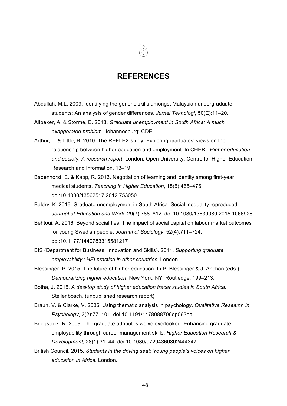### **REFERENCES**

- Abdullah, M.L. 2009. Identifying the generic skills amongst Malaysian undergraduate students: An analysis of gender differences. *Jurnal Teknologi*, 50(E):11–20.
- Altbeker, A. & Storme, E. 2013. *Graduate unemployment in South Africa: A much exaggerated problem.* Johannesburg: CDE.
- Arthur, L. & Little, B. 2010. The REFLEX study: Exploring graduates' views on the relationship between higher education and employment. In CHERI. *Higher education and society: A research report.* London: Open University, Centre for Higher Education Research and Information, 13–19.
- Badenhorst, E. & Kapp, R. 2013. Negotiation of learning and identity among first-year medical students. *Teaching in Higher Education*, 18(5):465–476. doi:10.1080/13562517.2012.753050
- Baldry, K. 2016. Graduate unemployment in South Africa: Social inequality reproduced. *Journal of Education and Work*, 29(7):788–812. doi:10.1080/13639080.2015.1066928
- Behtoui, A. 2016. Beyond social ties: The impact of social capital on labour market outcomes for young Swedish people. *Journal of Sociology*, 52(4):711–724. doi:10.1177/1440783315581217
- BIS (Department for Business, Innovation and Skills). 2011. *Supporting graduate employability : HEI practice in other countries*. London.
- Blessinger, P. 2015. The future of higher education. In P. Blessinger & J. Anchan (eds.). *Democratizing higher education*. New York, NY: Routledge, 199–213.
- Botha, J. 2015. *A desktop study of higher education tracer studies in South Africa.* Stellenbosch. (unpublished research report)
- Braun, V. & Clarke, V. 2006. Using thematic analysis in psychology. *Qualitative Research in Psychology*, 3(2):77–101. doi:10.1191/1478088706qp063oa
- Bridgstock, R. 2009. The graduate attributes we've overlooked: Enhancing graduate employability through career management skills. *Higher Education Research & Development*, 28(1):31–44. doi:10.1080/07294360802444347
- British Council. 2015. *Students in the driving seat: Young people's voices on higher education in Africa*. London.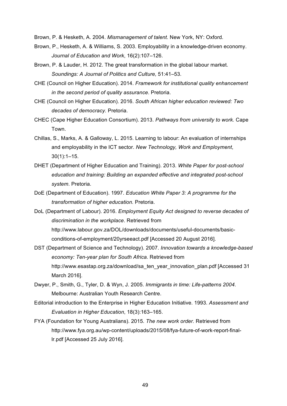Brown, P. & Hesketh, A. 2004. *Mismanagement of talent.* New York, NY: Oxford.

- Brown, P., Hesketh, A. & Williams, S. 2003. Employability in a knowledge-driven economy. *Journal of Education and Work*, 16(2):107–126.
- Brown, P. & Lauder, H. 2012. The great transformation in the global labour market. *Soundings: A Journal of Politics and Culture,* 51:41–53.
- CHE (Council on Higher Education). 2014. *Framework for institutional quality enhancement in the second period of quality assurance*. Pretoria.
- CHE (Council on Higher Education). 2016. *South African higher education reviewed: Two decades of democracy.* Pretoria.
- CHEC (Cape Higher Education Consortium). 2013. *Pathways from university to work.* Cape Town.
- Chillas, S., Marks, A. & Galloway, L. 2015. Learning to labour: An evaluation of internships and employability in the ICT sector. *New Technology, Work and Employment*, 30(1):1–15.
- DHET (Department of Higher Education and Training). 2013. *White Paper for post-school education and training: Building an expanded effective and integrated post-school system*. Pretoria.
- DoE (Department of Education). 1997. *Education White Paper 3: A programme for the transformation of higher education.* Pretoria.
- DoL (Department of Labour). 2016. *Employment Equity Act designed to reverse decades of discrimination in the workplace*. Retrieved from http://www.labour.gov.za/DOL/downloads/documents/useful-documents/basicconditions-of-employment/20yrseeact.pdf [Accessed 20 August 2016].
- DST (Department of Science and Technology). 2007. *Innovation towards a knowledge-based economy: Ten-year plan for South Africa.* Retrieved from http://www.esastap.org.za/download/sa\_ten\_year\_innovation\_plan.pdf [Accessed 31 March 2016].
- Dwyer, P., Smith, G., Tyler, D. & Wyn, J. 2005. *Immigrants in time: Life-patterns 2004*. Melbourne: Australian Youth Research Centre.
- Editorial introduction to the Enterprise in Higher Education Initiative. 1993. *Assessment and Evaluation in Higher Education*, 18(3):163–165.
- FYA (Foundation for Young Australians). 2015. *The new work order.* Retrieved from http://www.fya.org.au/wp-content/uploads/2015/08/fya-future-of-work-report-finallr.pdf [Accessed 25 July 2016].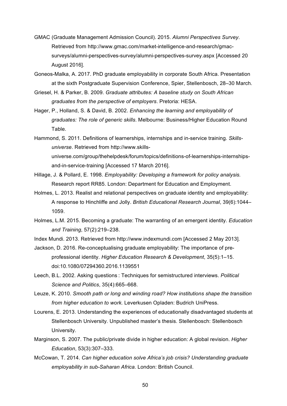- GMAC (Graduate Management Admission Council). 2015. *Alumni Perspectives Survey*. Retrieved from http://www.gmac.com/market-intelligence-and-research/gmacsurveys/alumni-perspectives-survey/alumni-perspectives-survey.aspx [Accessed 20 August 2016].
- Goneos-Malka, A. 2017. PhD graduate employability in corporate South Africa. Presentation at the sixth Postgraduate Supervision Conference, Spier, Stellenbosch, 28–30 March.
- Griesel, H. & Parker, B. 2009. *Graduate attributes: A baseline study on South African graduates from the perspective of employers*. Pretoria: HESA.
- Hager, P., Holland, S. & David, B. 2002. *Enhancing the learning and employability of graduates: The role of generic skills*. Melbourne: Business/Higher Education Round Table.
- Hammond, S. 2011. Definitions of learnerships, internships and in-service training. *Skillsuniverse*. Retrieved from http://www.skillsuniverse.com/group/thehelpdesk/forum/topics/definitions-of-learnerships-internshipsand-in-service-training [Accessed 17 March 2016].
- Hillage, J. & Pollard, E. 1998. *Employability: Developing a framework for policy analysis.* Research report RR85. London: Department for Education and Employment.
- Holmes, L. 2013. Realist and relational perspectives on graduate identity and employability: A response to Hinchliffe and Jolly. *British Educational Research Journal*, 39(6):1044– 1059.
- Holmes, L.M. 2015. Becoming a graduate: The warranting of an emergent identity. *Education and Training*, 57(2):219–238.
- Index Mundi. 2013. Retrieved from http://www.indexmundi.com [Accessed 2 May 2013].
- Jackson, D. 2016. Re-conceptualising graduate employability: The importance of preprofessional identity. *Higher Education Research & Development*, 35(5):1–15. doi:10.1080/07294360.2016.1139551
- Leech, B.L. 2002. Asking questions : Techniques for semistructured interviews. *Political Science and Politics*, 35(4):665–668.
- Leuze, K. 2010. *Smooth path or long and winding road? How institutions shape the transition from higher education to work.* Leverkusen Opladen: Budrich UniPress.
- Lourens, E. 2013. Understanding the experiences of educationally disadvantaged students at Stellenbosch University*.* Unpublished master's thesis. Stellenbosch: Stellenbosch University.
- Marginson, S. 2007. The public/private divide in higher education: A global revision. *Higher Education*, 53(3):307–333.
- McCowan, T. 2014. *Can higher education solve Africa's job crisis? Understanding graduate employability in sub-Saharan Africa.* London: British Council.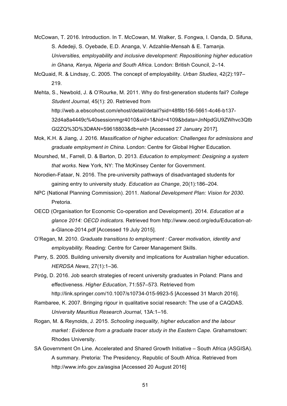- McCowan, T. 2016. Introduction. In T. McCowan, M. Walker, S. Fongwa, I. Oanda, D. Sifuna, S. Adedeji, S. Oyebade, E.D. Ananga, V. Adzahlie-Mensah & E. Tamanja. *Universities, employability and inclusive development: Repositioning higher education in Ghana, Kenya, Nigeria and South Africa.* London: British Council, 2–14.
- McQuaid, R. & Lindsay, C. 2005. The concept of employability. *Urban Studies*, 42(2):197– 219.
- Mehta, S., Newbold, J. & O'Rourke, M. 2011. Why do first-generation students fail? *College Student Journal,* 45(1): 20. Retrieved from http://web.a.ebscohost.com/ehost/detail/detail?sid=48f8b156-5661-4c46-b137- 32d4a8a4449c%40sessionmgr4010&vid=1&hid=4109&bdata=JnNpdGU9ZWhvc3Qtb Gl2ZQ%3D%3D#AN=59618803&db=ehh [Accessed 27 January 2017].
- Mok, K.H. & Jiang, J. 2016. *Massification of higher education: Challenges for admissions and graduate employment in China*. London: Centre for Global Higher Education.
- Mourshed, M., Farrell, D. & Barton, D. 2013. *Education to employment: Designing a system that works*. New York, NY: The McKinsey Center for Government.
- Norodien-Fataar, N. 2016. The pre-university pathways of disadvantaged students for gaining entry to university study. *Education as Change*, 20(1):186–204.
- NPC (National Planning Commission). 2011. *National Development Plan: Vision for 2030*. Pretoria.
- OECD (Organisation for Economic Co-operation and Development). 2014. *Education at a glance 2014: OECD indicators.* Retrieved from http://www.oecd.org/edu/Education-ata-Glance-2014.pdf [Accessed 19 July 2015].
- O'Regan, M. 2010. *Graduate transitions to employment : Career motivation, identity and employability.* Reading: Centre for Career Management Skills.
- Parry, S. 2005. Building university diversity and implications for Australian higher education. *HERDSA News*, 27(1):1–36.
- Piróg, D. 2016. Job search strategies of recent university graduates in Poland: Plans and effectiveness. *Higher Education*, 71:557–573. Retrieved from http://link.springer.com/10.1007/s10734-015-9923-5 [Accessed 31 March 2016].
- Rambaree, K. 2007. Bringing rigour in qualitative social research: The use of a CAQDAS. *University Mauritius Research Journal*, 13A:1–16.
- Rogan, M. & Reynolds, J. 2015. *Schooling inequality, higher education and the labour market : Evidence from a graduate tracer study in the Eastern Cape.* Grahamstown: Rhodes University.
- SA Government On Line. Accelerated and Shared Growth Initiative South Africa (ASGISA). A summary. Pretoria: The Presidency, Republic of South Africa. Retrieved from http://www.info.gov.za/asgisa [Accessed 20 August 2016]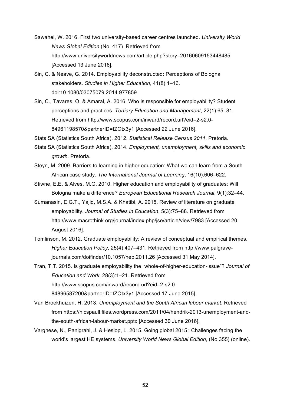- Sawahel, W. 2016. First two university-based career centres launched. *University World News Global Edition* (No. 417). Retrieved from http://www.universityworldnews.com/article.php?story=20160609153448485 [Accessed 13 June 2016].
- Sin, C. & Neave, G. 2014. Employability deconstructed: Perceptions of Bologna stakeholders. *Studies in Higher Education*, 41(8):1–16. doi:10.1080/03075079.2014.977859
- Sin, C., Tavares, O. & Amaral, A. 2016. Who is responsible for employability? Student perceptions and practices. *Tertiary Education and Management*, 22(1):65–81. Retrieved from http://www.scopus.com/inward/record.url?eid=2-s2.0- 84961198570&partnerID=tZOtx3y1 [Accessed 22 June 2016].

Stats SA (Statistics South Africa). 2012. *Statistical Release Census 2011*. Pretoria.

- Stats SA (Statistics South Africa). 2014. *Employment, unemployment, skills and economic growth.* Pretoria.
- Steyn, M. 2009. Barriers to learning in higher education: What we can learn from a South African case study. *The International Journal of Learning*, 16(10):606–622.
- Stiwne, E.E. & Alves, M.G. 2010. Higher education and employability of graduates: Will Bologna make a difference? *European Educational Research Journal*, 9(1):32–44.
- Sumanasiri, E.G.T., Yajid, M.S.A. & Khatibi, A. 2015. Review of literature on graduate employability. *Journal of Studies in Education*, 5(3):75–88. Retrieved from http://www.macrothink.org/journal/index.php/jse/article/view/7983 [Accessed 20 August 2016].
- Tomlinson, M. 2012. Graduate employability: A review of conceptual and empirical themes. *Higher Education Policy*, 25(4):407–431. Retrieved from http://www.palgravejournals.com/doifinder/10.1057/hep.2011.26 [Accessed 31 May 2014].

Tran, T.T. 2015. Is graduate employability the "whole-of-higher-education-issue"? *Journal of Education and Work*, 28(3):1–21. Retrieved from http://www.scopus.com/inward/record.url?eid=2-s2.0- 84896587200&partnerID=tZOtx3y1 [Accessed 17 June 2015].

- Van Broekhuizen, H. 2013. *Unemployment and the South African labour market*. Retrieved from https://nicspaull.files.wordpress.com/2011/04/hendrik-2013-unemployment-andthe-south-african-labour-market.pptx [Accessed 30 June 2016].
- Varghese, N., Panigrahi, J. & Heslop, L. 2015. Going global 2015 : Challenges facing the world's largest HE systems. *University World News Global Edition*, (No 355) (online).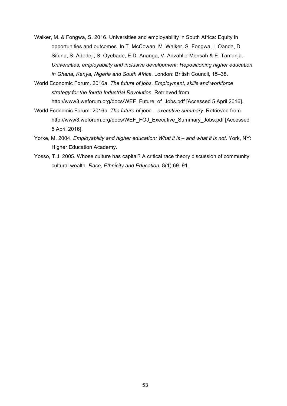- Walker, M. & Fongwa, S. 2016. Universities and employability in South Africa: Equity in opportunities and outcomes. In T. McCowan, M. Walker, S. Fongwa, I. Oanda, D. Sifuna, S. Adedeji, S. Oyebade, E.D. Ananga, V. Adzahlie-Mensah & E. Tamanja. *Universities, employability and inclusive development: Repositioning higher education in Ghana, Kenya, Nigeria and South Africa.* London: British Council, 15–38.
- World Economic Forum. 2016a. *The future of jobs. Employment, skills and workforce strategy for the fourth Industrial Revolution.* Retrieved from http://www3.weforum.org/docs/WEF\_Future\_of\_Jobs.pdf [Accessed 5 April 2016].
- World Economic Forum. 2016b. *The future of jobs – executive summary*. Retrieved from http://www3.weforum.org/docs/WEF\_FOJ\_Executive\_Summary\_Jobs.pdf [Accessed 5 April 2016].
- Yorke, M. 2004. *Employability and higher education: What it is – and what it is not*. York, NY: Higher Education Academy.
- Yosso, T.J. 2005. Whose culture has capital? A critical race theory discussion of community cultural wealth. *Race, Ethnicity and Education*, 8(1):69–91.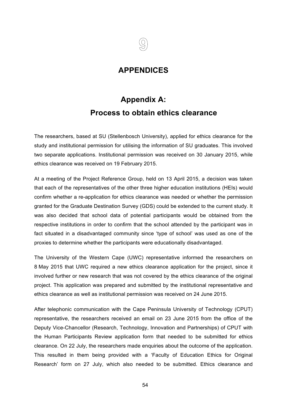## **APPENDICES**

# **Appendix A: Process to obtain ethics clearance**

The researchers, based at SU (Stellenbosch University), applied for ethics clearance for the study and institutional permission for utilising the information of SU graduates. This involved two separate applications. Institutional permission was received on 30 January 2015, while ethics clearance was received on 19 February 2015.

At a meeting of the Project Reference Group, held on 13 April 2015, a decision was taken that each of the representatives of the other three higher education institutions (HEIs) would confirm whether a re-application for ethics clearance was needed or whether the permission granted for the Graduate Destination Survey (GDS) could be extended to the current study. It was also decided that school data of potential participants would be obtained from the respective institutions in order to confirm that the school attended by the participant was in fact situated in a disadvantaged community since 'type of school' was used as one of the proxies to determine whether the participants were educationally disadvantaged.

The University of the Western Cape (UWC) representative informed the researchers on 8 May 2015 that UWC required a new ethics clearance application for the project, since it involved further or new research that was not covered by the ethics clearance of the original project. This application was prepared and submitted by the institutional representative and ethics clearance as well as institutional permission was received on 24 June 2015.

After telephonic communication with the Cape Peninsula University of Technology (CPUT) representative, the researchers received an email on 23 June 2015 from the office of the Deputy Vice-Chancellor (Research, Technology, Innovation and Partnerships) of CPUT with the Human Participants Review application form that needed to be submitted for ethics clearance. On 22 July, the researchers made enquiries about the outcome of the application. This resulted in them being provided with a 'Faculty of Education Ethics for Original Research' form on 27 July, which also needed to be submitted. Ethics clearance and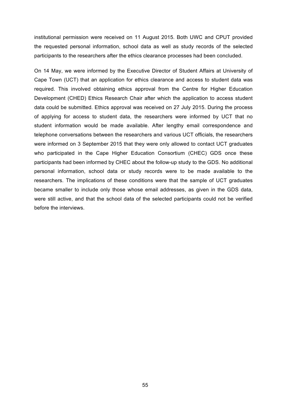institutional permission were received on 11 August 2015. Both UWC and CPUT provided the requested personal information, school data as well as study records of the selected participants to the researchers after the ethics clearance processes had been concluded.

On 14 May, we were informed by the Executive Director of Student Affairs at University of Cape Town (UCT) that an application for ethics clearance and access to student data was required. This involved obtaining ethics approval from the Centre for Higher Education Development (CHED) Ethics Research Chair after which the application to access student data could be submitted. Ethics approval was received on 27 July 2015. During the process of applying for access to student data, the researchers were informed by UCT that no student information would be made available. After lengthy email correspondence and telephone conversations between the researchers and various UCT officials, the researchers were informed on 3 September 2015 that they were only allowed to contact UCT graduates who participated in the Cape Higher Education Consortium (CHEC) GDS once these participants had been informed by CHEC about the follow-up study to the GDS. No additional personal information, school data or study records were to be made available to the researchers. The implications of these conditions were that the sample of UCT graduates became smaller to include only those whose email addresses, as given in the GDS data, were still active, and that the school data of the selected participants could not be verified before the interviews.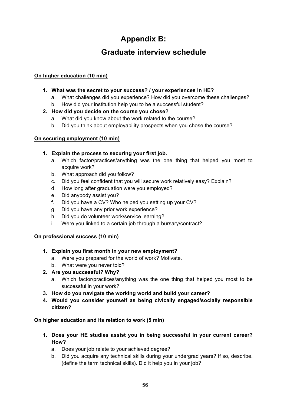# **Appendix B:**

# **Graduate interview schedule**

### **On higher education (10 min)**

- **1. What was the secret to your success? / your experiences in HE?**
	- a. What challenges did you experience? How did you overcome these challenges?
	- b. How did your institution help you to be a successful student?
- **2. How did you decide on the course you chose?** 
	- a. What did you know about the work related to the course?
	- b. Did you think about employability prospects when you chose the course?

### **On securing employment (10 min)**

### **1. Explain the process to securing your first job.**

- a. Which factor/practices/anything was the one thing that helped you most to acquire work?
- b. What approach did you follow?
- c. Did you feel confident that you will secure work relatively easy? Explain?
- d. How long after graduation were you employed?
- e. Did anybody assist you?
- f. Did you have a CV? Who helped you setting up your CV?
- g. Did you have any prior work experience?
- h. Did you do volunteer work/service learning?
- i. Were you linked to a certain job through a bursary/contract?

### **On professional success (10 min)**

- **1. Explain you first month in your new employment?** 
	- a. Were you prepared for the world of work? Motivate.
	- b. What were you never told?
- **2. Are you successful? Why?** 
	- a. Which factor/practices/anything was the one thing that helped you most to be successful in your work?
- **3. How do you navigate the working world and build your career?**
- **4. Would you consider yourself as being civically engaged/socially responsible citizen?**

### **On higher education and its relation to work (5 min)**

- **1. Does your HE studies assist you in being successful in your current career? How?** 
	- a. Does your job relate to your achieved degree?
	- b. Did you acquire any technical skills during your undergrad years? If so, describe. (define the term technical skills). Did it help you in your job?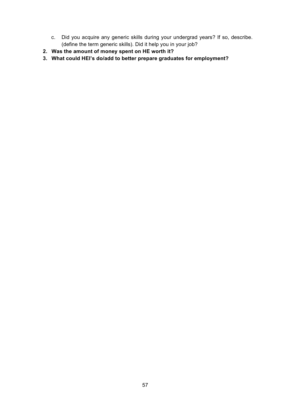- c. Did you acquire any generic skills during your undergrad years? If so, describe. (define the term generic skills). Did it help you in your job?
- **2. Was the amount of money spent on HE worth it?**
- **3. What could HEI's do/add to better prepare graduates for employment?**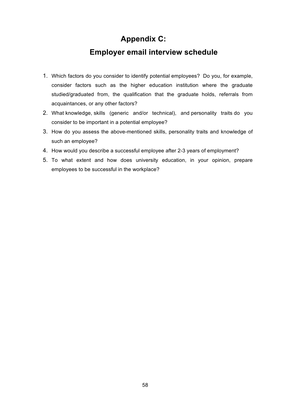# **Appendix C:**

# **Employer email interview schedule**

- 1. Which factors do you consider to identify potential employees? Do you, for example, consider factors such as the higher education institution where the graduate studied/graduated from, the qualification that the graduate holds, referrals from acquaintances, or any other factors?
- 2. What knowledge, skills (generic and/or technical), and personality traits do you consider to be important in a potential employee?
- 3. How do you assess the above-mentioned skills, personality traits and knowledge of such an employee?
- 4. How would you describe a successful employee after 2-3 years of employment?
- 5. To what extent and how does university education, in your opinion, prepare employees to be successful in the workplace?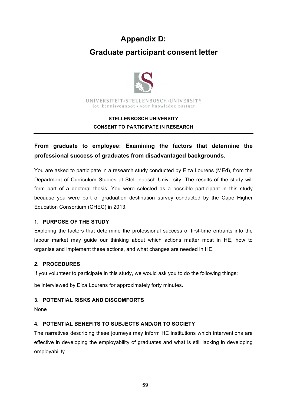# **Appendix D:**

# **Graduate participant consent letter**



### **STELLENBOSCH UNIVERSITY CONSENT TO PARTICIPATE IN RESEARCH**

## **From graduate to employee: Examining the factors that determine the professional success of graduates from disadvantaged backgrounds.**

You are asked to participate in a research study conducted by Elza Lourens (MEd), from the Department of Curriculum Studies at Stellenbosch University. The results of the study will form part of a doctoral thesis. You were selected as a possible participant in this study because you were part of graduation destination survey conducted by the Cape Higher Education Consortium (CHEC) in 2013.

### **1. PURPOSE OF THE STUDY**

Exploring the factors that determine the professional success of first-time entrants into the labour market may guide our thinking about which actions matter most in HE, how to organise and implement these actions, and what changes are needed in HE.

### **2. PROCEDURES**

If you volunteer to participate in this study, we would ask you to do the following things:

be interviewed by Elza Lourens for approximately forty minutes.

### **3. POTENTIAL RISKS AND DISCOMFORTS**

None

### **4. POTENTIAL BENEFITS TO SUBJECTS AND/OR TO SOCIETY**

The narratives describing these journeys may inform HE institutions which interventions are effective in developing the employability of graduates and what is still lacking in developing employability.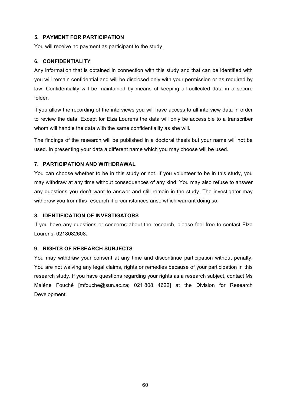### **5. PAYMENT FOR PARTICIPATION**

You will receive no payment as participant to the study.

### **6. CONFIDENTIALITY**

Any information that is obtained in connection with this study and that can be identified with you will remain confidential and will be disclosed only with your permission or as required by law. Confidentiality will be maintained by means of keeping all collected data in a secure folder.

If you allow the recording of the interviews you will have access to all interview data in order to review the data. Except for Elza Lourens the data will only be accessible to a transcriber whom will handle the data with the same confidentiality as she will.

The findings of the research will be published in a doctoral thesis but your name will not be used. In presenting your data a different name which you may choose will be used.

### **7. PARTICIPATION AND WITHDRAWAL**

You can choose whether to be in this study or not. If you volunteer to be in this study, you may withdraw at any time without consequences of any kind. You may also refuse to answer any questions you don't want to answer and still remain in the study. The investigator may withdraw you from this research if circumstances arise which warrant doing so.

### **8. IDENTIFICATION OF INVESTIGATORS**

If you have any questions or concerns about the research, please feel free to contact Elza Lourens, 0218082608.

### **9. RIGHTS OF RESEARCH SUBJECTS**

You may withdraw your consent at any time and discontinue participation without penalty. You are not waiving any legal claims, rights or remedies because of your participation in this research study. If you have questions regarding your rights as a research subject, contact Ms Maléne Fouché [mfouche@sun.ac.za; 021 808 4622] at the Division for Research Development.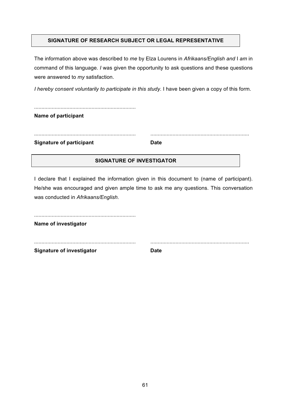### **SIGNATURE OF RESEARCH SUBJECT OR LEGAL REPRESENTATIVE**

The information above was described to *me* by Elza Lourens in *Afrikaans/English and* I *am* in command of this language. *I* was given the opportunity to ask questions and these questions were answered to *my* satisfaction.

*I hereby consent voluntarily to participate in this study.* I have been given a copy of this form.

| .<br><b>Name of participant</b> |             |
|---------------------------------|-------------|
|                                 |             |
| <b>Signature of participant</b> | <b>Date</b> |

### **SIGNATURE OF INVESTIGATOR**

I declare that I explained the information given in this document to (name of participant). He/she was encouraged and given ample time to ask me any questions. This conversation was conducted in *Afrikaans/English.*

| Name of investigator             |             |
|----------------------------------|-------------|
|                                  |             |
| <b>Signature of investigator</b> | <b>Date</b> |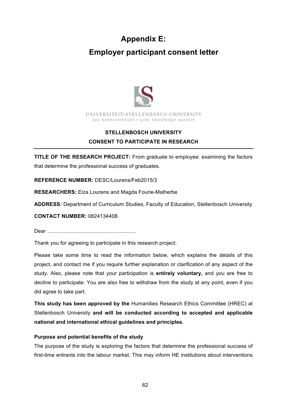# **Appendix E:**

# **Employer participant consent letter**



### **STELLENBOSCH UNIVERSITY CONSENT TO PARTICIPATE IN RESEARCH**

**TITLE OF THE RESEARCH PROJECT:** From graduate to employee: examining the factors that determine the professional success of graduates.

**REFERENCE NUMBER:** DESC/Lourens/Feb2015/3

**RESEARCHERS:** Elza Lourens and Magda Fourie-Malherbe

**ADDRESS:** Department of Curriculum Studies, Faculty of Education, Stellenbosch University

**CONTACT NUMBER:** 0824134408

Dear ............................................................

Thank you for agreeing to participate in this research project.

Please take some time to read the information below, which explains the details of this project, and contact me if you require further explanation or clarification of any aspect of the study. Also, please note that your participation is **entirely voluntary,** and you are free to decline to participate. You are also free to withdraw from the study at any point, even if you did agree to take part.

**This study has been approved by the** Humanities Research Ethics Committee (HREC) at Stellenbosch University **and will be conducted according to accepted and applicable national and international ethical guidelines and principles.** 

### **Purpose and potential benefits of the study**

The purpose of the study is exploring the factors that determine the professional success of first-time entrants into the labour market. This may inform HE institutions about interventions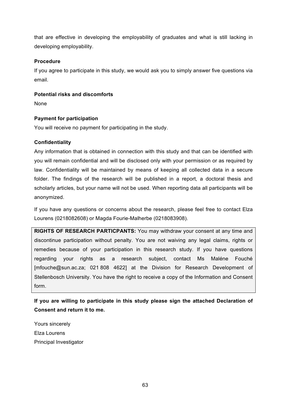that are effective in developing the employability of graduates and what is still lacking in developing employability.

### **Procedure**

If you agree to participate in this study, we would ask you to simply answer five questions via email.

### **Potential risks and discomforts**

None

### **Payment for participation**

You will receive no payment for participating in the study.

### **Confidentiality**

Any information that is obtained in connection with this study and that can be identified with you will remain confidential and will be disclosed only with your permission or as required by law. Confidentiality will be maintained by means of keeping all collected data in a secure folder. The findings of the research will be published in a report, a doctoral thesis and scholarly articles, but your name will not be used. When reporting data all participants will be anonymized.

If you have any questions or concerns about the research, please feel free to contact Elza Lourens (0218082608) or Magda Fourie-Malherbe (0218083908).

**RIGHTS OF RESEARCH PARTICPANTS:** You may withdraw your consent at any time and discontinue participation without penalty. You are not waiving any legal claims, rights or remedies because of your participation in this research study. If you have questions regarding your rights as a research subject, contact Ms Maléne Fouché [mfouche@sun.ac.za; 021 808 4622] at the Division for Research Development of Stellenbosch University. You have the right to receive a copy of the Information and Consent form.

**If you are willing to participate in this study please sign the attached Declaration of Consent and return it to me.**

Yours sincerely Elza Lourens Principal Investigator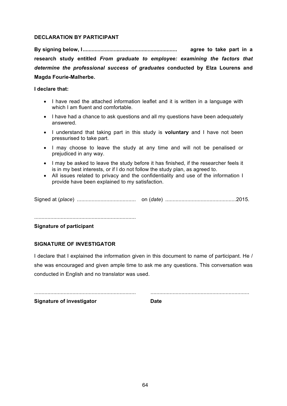### **DECLARATION BY PARTICIPANT**

**By signing below, I................................................................ agree to take part in a research study entitled** *From graduate to employee: examining the factors that determine the professional success of graduates* **conducted by Elza Lourens and Magda Fourie-Malherbe.**

### **I declare that:**

- I have read the attached information leaflet and it is written in a language with which I am fluent and comfortable.
- I have had a chance to ask questions and all my questions have been adequately answered.
- I understand that taking part in this study is **voluntary** and I have not been pressurised to take part.
- I may choose to leave the study at any time and will not be penalised or prejudiced in any way.
- I may be asked to leave the study before it has finished, if the researcher feels it is in my best interests, or if I do not follow the study plan, as agreed to.
- All issues related to privacy and the confidentiality and use of the information I provide have been explained to my satisfaction.

Signed at (*place*) ........................................ on (*date*) ................................................2015.

.....................................................................

### **Signature of participant**

### **SIGNATURE OF INVESTIGATOR**

I declare that I explained the information given in this document to name of participant. He / she was encouraged and given ample time to ask me any questions. This conversation was conducted in English and no translator was used.

..................................................................... ...................................................................

**Signature of investigator Date**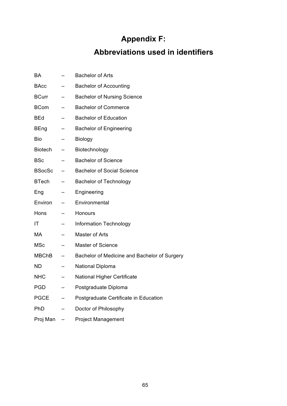# **Appendix F:**

# **Abbreviations used in identifiers**

| <b>BA</b>      | <b>Bachelor of Arts</b>                      |
|----------------|----------------------------------------------|
| BAcc           | <b>Bachelor of Accounting</b>                |
| <b>BCurr</b>   | <b>Bachelor of Nursing Science</b>           |
| <b>BCom</b>    | <b>Bachelor of Commerce</b>                  |
| BEd            | <b>Bachelor of Education</b>                 |
| <b>BEng</b>    | <b>Bachelor of Engineering</b>               |
| Bio            | <b>Biology</b>                               |
| <b>Biotech</b> | Biotechnology                                |
| BSc            | <b>Bachelor of Science</b>                   |
| <b>BSocSc</b>  | <b>Bachelor of Social Science</b>            |
| <b>BTech</b>   | <b>Bachelor of Technology</b>                |
| Eng            | Engineering                                  |
| Environ        | Environmental                                |
| Hons           | Honours                                      |
| ΙT             | <b>Information Technology</b>                |
| MA             | Master of Arts                               |
| MSc            | <b>Master of Science</b>                     |
| <b>MBChB</b>   | Bachelor of Medicine and Bachelor of Surgery |
| <b>ND</b>      | National Diploma                             |
| <b>NHC</b>     | <b>National Higher Certificate</b>           |
| <b>PGD</b>     | Postgraduate Diploma                         |
| <b>PGCE</b>    | Postgraduate Certificate in Education        |
| PhD            | Doctor of Philosophy                         |
| Proj Man       | <b>Project Management</b>                    |